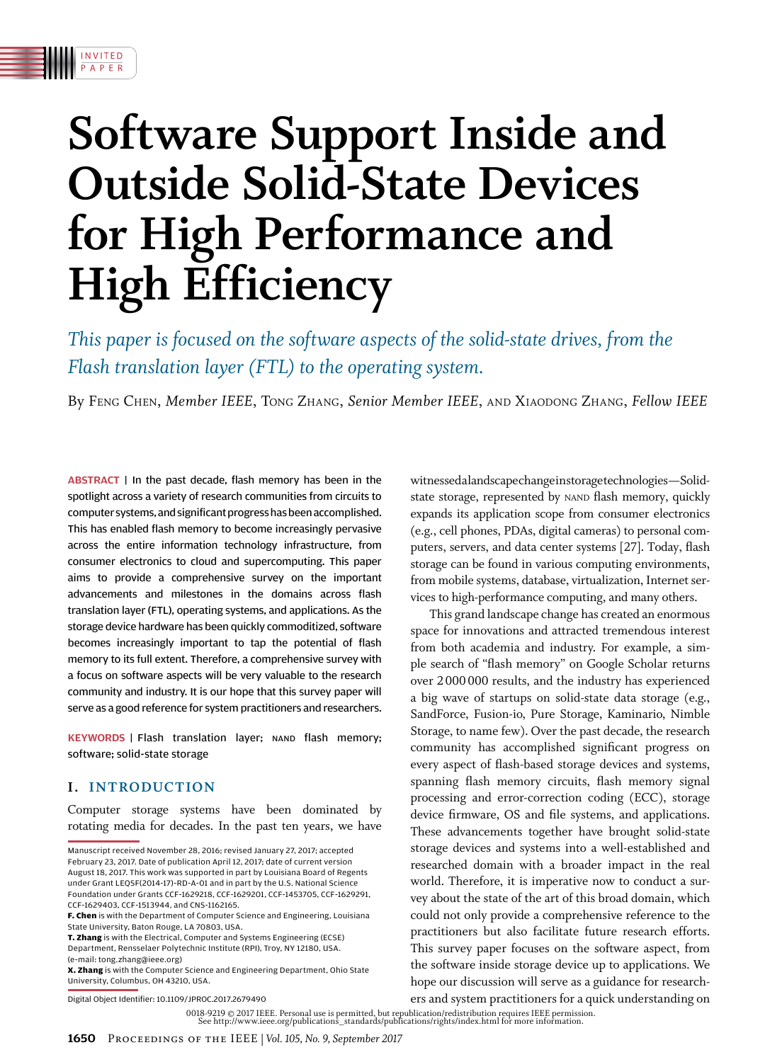# **Software Support Inside and Outside Solid-State Devices for High Performance and High Efficiency**

*This paper is focused on the software aspects of the solid-state drives, from the Flash translation layer (FTL) to the operating system.*

By Feng Chen, *Member IEEE*, Tong Zhang, *Senior Member IEEE*, and Xiaodong Zhang, *Fellow IEEE*

ABSTRACT | In the past decade, flash memory has been in the spotlight across a variety of research communities from circuits to computer systems, and significant progress has been accomplished. This has enabled flash memory to become increasingly pervasive across the entire information technology infrastructure, from consumer electronics to cloud and supercomputing. This paper aims to provide a comprehensive survey on the important advancements and milestones in the domains across flash translation layer (FTL), operating systems, and applications. As the storage device hardware has been quickly commoditized, software becomes increasingly important to tap the potential of flash memory to its full extent. Therefore, a comprehensive survey with a focus on software aspects will be very valuable to the research community and industry. It is our hope that this survey paper will serve as a good reference for system practitioners and researchers.

KEYWORDS | Flash translation layer; NAND flash memory; software; solid-state storage

## **I. INTRODUCTION**

**INVITED** PAPFR

Computer storage systems have been dominated by rotating media for decades. In the past ten years, we have

**T. Zhang** is with the Electrical, Computer and Systems Engineering (ECSE) Department, Rensselaer Polytechnic Institute (RPI), Troy, NY 12180, USA. (e-mail: tong.zhang@ieee.org)

witnessed a landscape change in storage technologies—Solidstate storage, represented by NAND flash memory, quickly expands its application scope from consumer electronics (e.g., cell phones, PDAs, digital cameras) to personal computers, servers, and data center systems [27]. Today, flash storage can be found in various computing environments, from mobile systems, database, virtualization, Internet services to high-performance computing, and many others.

This grand landscape change has created an enormous space for innovations and attracted tremendous interest from both academia and industry. For example, a simple search of "flash memory" on Google Scholar returns over 2000000 results, and the industry has experienced a big wave of startups on solid-state data storage (e.g., SandForce, Fusion-io, Pure Storage, Kaminario, Nimble Storage, to name few). Over the past decade, the research community has accomplished significant progress on every aspect of flash-based storage devices and systems, spanning flash memory circuits, flash memory signal processing and error-correction coding (ECC), storage device firmware, OS and file systems, and applications. These advancements together have brought solid-state storage devices and systems into a well-established and researched domain with a broader impact in the real world. Therefore, it is imperative now to conduct a survey about the state of the art of this broad domain, which could not only provide a comprehensive reference to the practitioners but also facilitate future research efforts. This survey paper focuses on the software aspect, from the software inside storage device up to applications. We hope our discussion will serve as a guidance for researchers and system practitioners for a quick understanding on

Digital Object Identifier: 10.1109/JPROC.2017.2679490

0018-9219 $\circledcirc$  2017 IEEE. Personal use is permitted, but republication/redistribution requires IEEE permission. See http://www.ieee.org/publications\_standards/publications/rights/index.html for more information.

Manuscript received November 28, 2016; revised January 27, 2017; accepted February 23, 2017. Date of publication April 12, 2017; date of current version August 18, 2017. This work was supported in part by Louisiana Board of Regents under Grant LEQSF(2014-17)-RD-A-01 and in part by the U.S. National Science Foundation under Grants CCF-1629218, CCF-1629201, CCF-1453705, CCF-1629291, CCF-1629403, CCF-1513944, and CNS-1162165.

**F. Chen** is with the Department of Computer Science and Engineering, Louisiana State University, Baton Rouge, LA 70803, USA.

**X. Zhang** is with the Computer Science and Engineering Department, Ohio State University, Columbus, OH 43210, USA.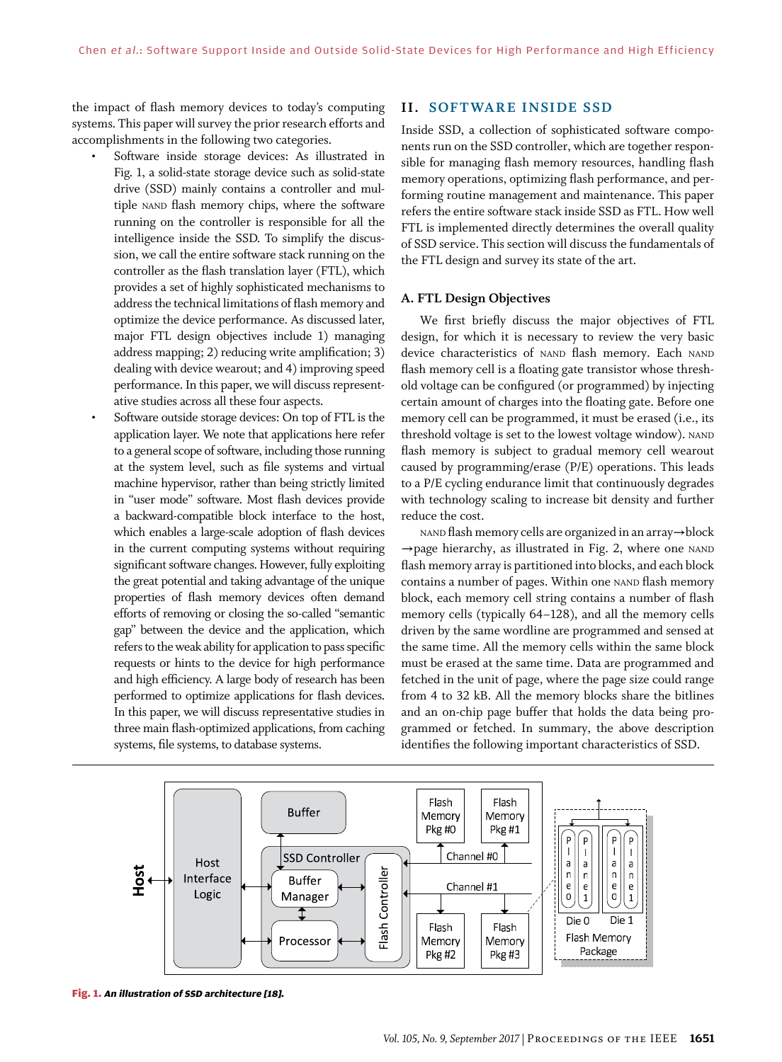the impact of flash memory devices to today's computing systems. This paper will survey the prior research efforts and accomplishments in the following two categories.

- Software inside storage devices: As illustrated in Fig. 1, a solid-state storage device such as solid-state drive (SSD) mainly contains a controller and multiple nand flash memory chips, where the software running on the controller is responsible for all the intelligence inside the SSD. To simplify the discussion, we call the entire software stack running on the controller as the flash translation layer (FTL), which provides a set of highly sophisticated mechanisms to address the technical limitations of flash memory and optimize the device performance. As discussed later, major FTL design objectives include 1) managing address mapping; 2) reducing write amplification; 3) dealing with device wearout; and 4) improving speed performance. In this paper, we will discuss representative studies across all these four aspects.
- Software outside storage devices: On top of FTL is the application layer. We note that applications here refer to a general scope of software, including those running at the system level, such as file systems and virtual machine hypervisor, rather than being strictly limited in "user mode" software. Most flash devices provide a backward-compatible block interface to the host, which enables a large-scale adoption of flash devices in the current computing systems without requiring significant software changes. However, fully exploiting the great potential and taking advantage of the unique properties of flash memory devices often demand efforts of removing or closing the so-called "semantic gap" between the device and the application, which refers to the weak ability for application to pass specific requests or hints to the device for high performance and high efficiency. A large body of research has been performed to optimize applications for flash devices. In this paper, we will discuss representative studies in three main flash-optimized applications, from caching systems, file systems, to database systems.

# **II. SOFTWARE INSIDE SSD**

Inside SSD, a collection of sophisticated software components run on the SSD controller, which are together responsible for managing flash memory resources, handling flash memory operations, optimizing flash performance, and performing routine management and maintenance. This paper refers the entire software stack inside SSD as FTL. How well FTL is implemented directly determines the overall quality of SSD service. This section will discuss the fundamentals of the FTL design and survey its state of the art.

### **A. FTL Design Objectives**

We first briefly discuss the major objectives of FTL design, for which it is necessary to review the very basic device characteristics of NAND flash memory. Each NAND flash memory cell is a floating gate transistor whose threshold voltage can be configured (or programmed) by injecting certain amount of charges into the floating gate. Before one memory cell can be programmed, it must be erased (i.e., its threshold voltage is set to the lowest voltage window). NAND flash memory is subject to gradual memory cell wearout caused by programming/erase (P/E) operations. This leads to a P/E cycling endurance limit that continuously degrades with technology scaling to increase bit density and further reduce the cost.

nand flash memory cells are organized in an array→block  $\rightarrow$  page hierarchy, as illustrated in Fig. 2, where one NAND flash memory array is partitioned into blocks, and each block contains a number of pages. Within one NAND flash memory block, each memory cell string contains a number of flash memory cells (typically 64–128), and all the memory cells driven by the same wordline are programmed and sensed at the same time. All the memory cells within the same block must be erased at the same time. Data are programmed and fetched in the unit of page, where the page size could range from 4 to 32 kB. All the memory blocks share the bitlines and an on-chip page buffer that holds the data being programmed or fetched. In summary, the above description identifies the following important characteristics of SSD.



**Fig. 1. An illustration of SSD architecture [18].**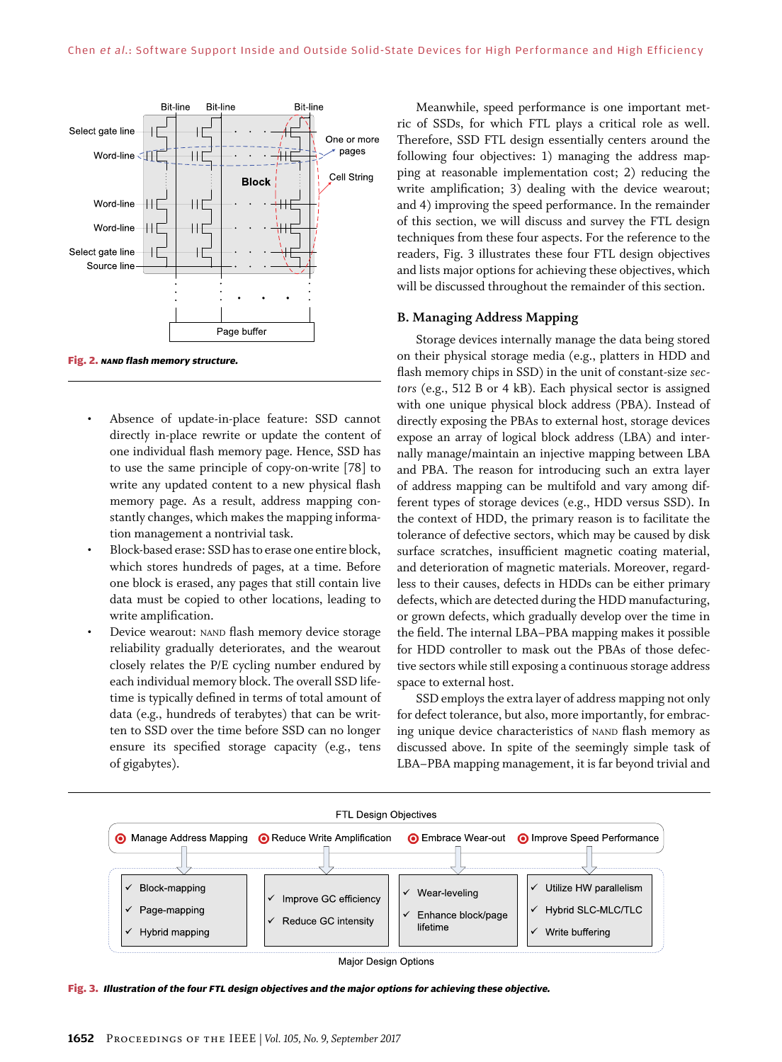

**Fig. 2. nand flash memory structure.**

- Absence of update-in-place feature: SSD cannot directly in-place rewrite or update the content of one individual flash memory page. Hence, SSD has to use the same principle of copy-on-write [78] to write any updated content to a new physical flash memory page. As a result, address mapping constantly changes, which makes the mapping information management a nontrivial task.
- Block-based erase: SSD has to erase one entire block, which stores hundreds of pages, at a time. Before one block is erased, any pages that still contain live data must be copied to other locations, leading to write amplification.
- Device wearout: NAND flash memory device storage reliability gradually deteriorates, and the wearout closely relates the P/E cycling number endured by each individual memory block. The overall SSD lifetime is typically defined in terms of total amount of data (e.g., hundreds of terabytes) that can be written to SSD over the time before SSD can no longer ensure its specified storage capacity (e.g., tens of gigabytes).

Meanwhile, speed performance is one important metric of SSDs, for which FTL plays a critical role as well. Therefore, SSD FTL design essentially centers around the following four objectives: 1) managing the address mapping at reasonable implementation cost; 2) reducing the write amplification; 3) dealing with the device wearout; and 4) improving the speed performance. In the remainder of this section, we will discuss and survey the FTL design techniques from these four aspects. For the reference to the readers, Fig. 3 illustrates these four FTL design objectives and lists major options for achieving these objectives, which will be discussed throughout the remainder of this section.

## **B. Managing Address Mapping**

Storage devices internally manage the data being stored on their physical storage media (e.g., platters in HDD and flash memory chips in SSD) in the unit of constant-size *sectors* (e.g., 512 B or 4 kB). Each physical sector is assigned with one unique physical block address (PBA). Instead of directly exposing the PBAs to external host, storage devices expose an array of logical block address (LBA) and internally manage/maintain an injective mapping between LBA and PBA. The reason for introducing such an extra layer of address mapping can be multifold and vary among different types of storage devices (e.g., HDD versus SSD). In the context of HDD, the primary reason is to facilitate the tolerance of defective sectors, which may be caused by disk surface scratches, insufficient magnetic coating material, and deterioration of magnetic materials. Moreover, regardless to their causes, defects in HDDs can be either primary defects, which are detected during the HDD manufacturing, or grown defects, which gradually develop over the time in the field. The internal LBA–PBA mapping makes it possible for HDD controller to mask out the PBAs of those defective sectors while still exposing a continuous storage address space to external host.

SSD employs the extra layer of address mapping not only for defect tolerance, but also, more importantly, for embracing unique device characteristics of NAND flash memory as discussed above. In spite of the seemingly simple task of LBA–PBA mapping management, it is far beyond trivial and



Major Design Options

**Fig. 3. Illustration of the four FTL design objectives and the major options for achieving these objective.**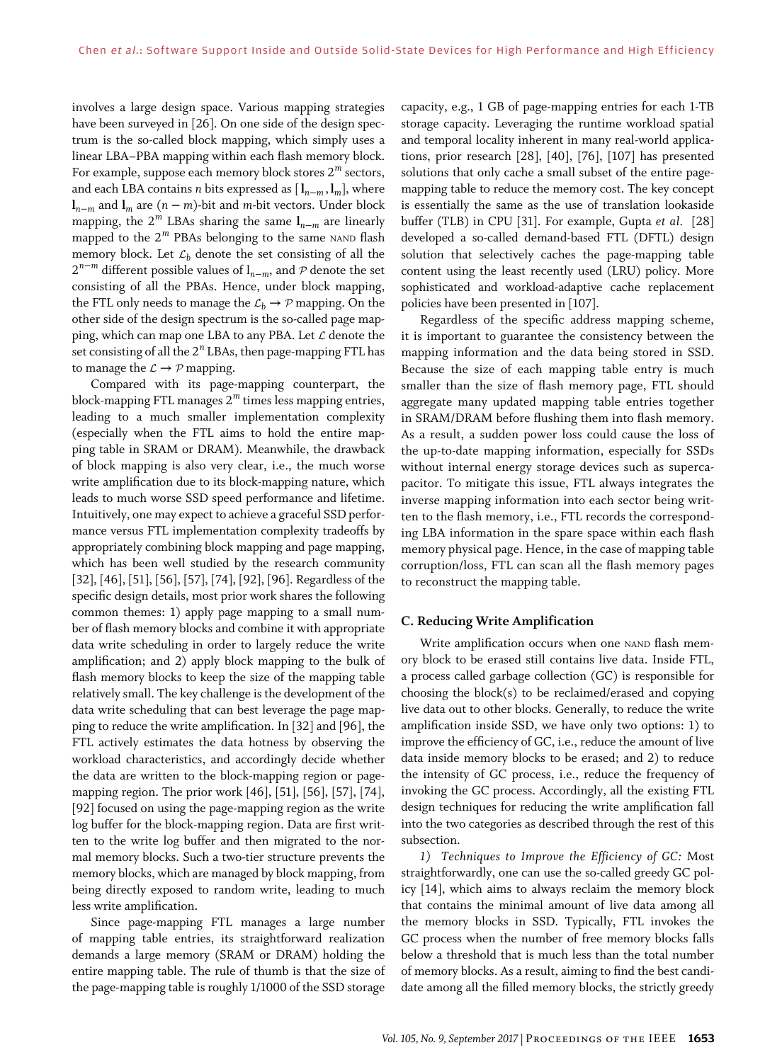involves a large design space. Various mapping strategies have been surveyed in [26]. On one side of the design spectrum is the so-called block mapping, which simply uses a linear LBA–PBA mapping within each flash memory block. For example, suppose each memory block stores 2*m* sectors, and each LBA contains *n* bits expressed as  $[\mathbf{1}_{n-m}, \mathbf{1}_m]$ , where **l**<sub>*n*−*m*</sub> and **l**<sub>*m*</sub> are  $(n - m)$ -bit and *m*-bit vectors. Under block mapping, the  $2^m$  LBAs sharing the same  $\mathbf{l}_{n-m}$  are linearly mapped to the  $2^m$  PBAs belonging to the same nand flash memory block. Let  $\mathcal{L}_b$  denote the set consisting of all the 2*n*−*m* different possible values of l*n*−*m*, and P denote the set consisting of all the PBAs. Hence, under block mapping, the FTL only needs to manage the  $\mathcal{L}_b \rightarrow \mathcal{P}$  mapping. On the other side of the design spectrum is the so-called page mapping, which can map one LBA to any PBA. Let  $\mathcal L$  denote the set consisting of all the 2*<sup>n</sup>* LBAs, then page-mapping FTL has to manage the  $\mathcal{L} \rightarrow \mathcal{P}$  mapping.

Compared with its page-mapping counterpart, the block-mapping FTL manages 2*m* times less mapping entries, leading to a much smaller implementation complexity (especially when the FTL aims to hold the entire mapping table in SRAM or DRAM). Meanwhile, the drawback of block mapping is also very clear, i.e., the much worse write amplification due to its block-mapping nature, which leads to much worse SSD speed performance and lifetime. Intuitively, one may expect to achieve a graceful SSD performance versus FTL implementation complexity tradeoffs by appropriately combining block mapping and page mapping, which has been well studied by the research community [32], [46], [51], [56], [57], [74], [92], [96]. Regardless of the specific design details, most prior work shares the following common themes: 1) apply page mapping to a small number of flash memory blocks and combine it with appropriate data write scheduling in order to largely reduce the write amplification; and 2) apply block mapping to the bulk of flash memory blocks to keep the size of the mapping table relatively small. The key challenge is the development of the data write scheduling that can best leverage the page mapping to reduce the write amplification. In [32] and [96], the FTL actively estimates the data hotness by observing the workload characteristics, and accordingly decide whether the data are written to the block-mapping region or pagemapping region. The prior work [46], [51], [56], [57], [74], [92] focused on using the page-mapping region as the write log buffer for the block-mapping region. Data are first written to the write log buffer and then migrated to the normal memory blocks. Such a two-tier structure prevents the memory blocks, which are managed by block mapping, from being directly exposed to random write, leading to much less write amplification.

Since page-mapping FTL manages a large number of mapping table entries, its straightforward realization demands a large memory (SRAM or DRAM) holding the entire mapping table. The rule of thumb is that the size of the page-mapping table is roughly 1/1000 of the SSD storage capacity, e.g., 1 GB of page-mapping entries for each 1-TB storage capacity. Leveraging the runtime workload spatial and temporal locality inherent in many real-world applications, prior research [28], [40], [76], [107] has presented solutions that only cache a small subset of the entire pagemapping table to reduce the memory cost. The key concept is essentially the same as the use of translation lookaside buffer (TLB) in CPU [31]. For example, Gupta *et al.* [28] developed a so-called demand-based FTL (DFTL) design solution that selectively caches the page-mapping table content using the least recently used (LRU) policy. More sophisticated and workload-adaptive cache replacement policies have been presented in [107].

Regardless of the specific address mapping scheme, it is important to guarantee the consistency between the mapping information and the data being stored in SSD. Because the size of each mapping table entry is much smaller than the size of flash memory page, FTL should aggregate many updated mapping table entries together in SRAM/DRAM before flushing them into flash memory. As a result, a sudden power loss could cause the loss of the up-to-date mapping information, especially for SSDs without internal energy storage devices such as supercapacitor. To mitigate this issue, FTL always integrates the inverse mapping information into each sector being written to the flash memory, i.e., FTL records the corresponding LBA information in the spare space within each flash memory physical page. Hence, in the case of mapping table corruption/loss, FTL can scan all the flash memory pages to reconstruct the mapping table.

## **C. Reducing Write Amplification**

Write amplification occurs when one NAND flash memory block to be erased still contains live data. Inside FTL, a process called garbage collection (GC) is responsible for choosing the block(s) to be reclaimed/erased and copying live data out to other blocks. Generally, to reduce the write amplification inside SSD, we have only two options: 1) to improve the efficiency of GC, i.e., reduce the amount of live data inside memory blocks to be erased; and 2) to reduce the intensity of GC process, i.e., reduce the frequency of invoking the GC process. Accordingly, all the existing FTL design techniques for reducing the write amplification fall into the two categories as described through the rest of this subsection.

*1) Techniques to Improve the Efficiency of GC:* Most straightforwardly, one can use the so-called greedy GC policy [14], which aims to always reclaim the memory block that contains the minimal amount of live data among all the memory blocks in SSD. Typically, FTL invokes the GC process when the number of free memory blocks falls below a threshold that is much less than the total number of memory blocks. As a result, aiming to find the best candidate among all the filled memory blocks, the strictly greedy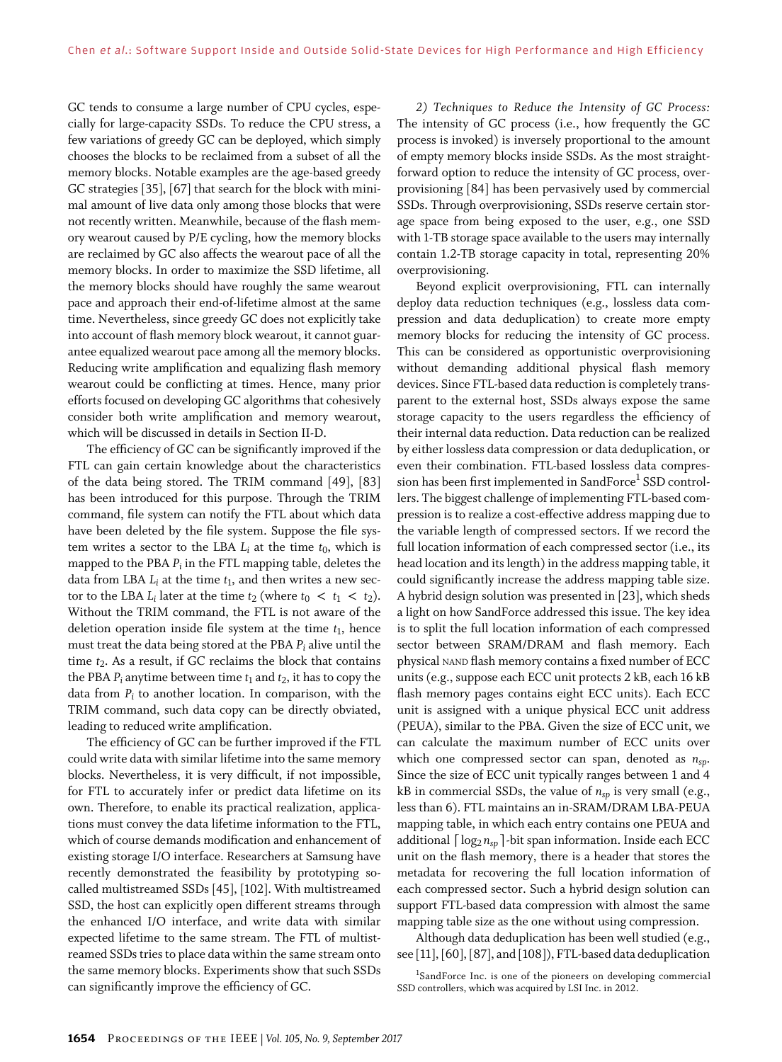GC tends to consume a large number of CPU cycles, especially for large-capacity SSDs. To reduce the CPU stress, a few variations of greedy GC can be deployed, which simply chooses the blocks to be reclaimed from a subset of all the memory blocks. Notable examples are the age-based greedy GC strategies [35], [67] that search for the block with minimal amount of live data only among those blocks that were not recently written. Meanwhile, because of the flash memory wearout caused by P/E cycling, how the memory blocks are reclaimed by GC also affects the wearout pace of all the memory blocks. In order to maximize the SSD lifetime, all the memory blocks should have roughly the same wearout pace and approach their end-of-lifetime almost at the same time. Nevertheless, since greedy GC does not explicitly take into account of flash memory block wearout, it cannot guarantee equalized wearout pace among all the memory blocks. Reducing write amplification and equalizing flash memory wearout could be conflicting at times. Hence, many prior efforts focused on developing GC algorithms that cohesively consider both write amplification and memory wearout, which will be discussed in details in Section II-D.

The efficiency of GC can be significantly improved if the FTL can gain certain knowledge about the characteristics of the data being stored. The TRIM command [49], [83] has been introduced for this purpose. Through the TRIM command, file system can notify the FTL about which data have been deleted by the file system. Suppose the file system writes a sector to the LBA *Li* at the time *t*0, which is mapped to the PBA  $P_i$  in the FTL mapping table, deletes the data from LBA  $L_i$  at the time  $t_1$ , and then writes a new sector to the LBA  $L_i$  later at the time  $t_2$  (where  $t_0 < t_1 < t_2$ ). Without the TRIM command, the FTL is not aware of the deletion operation inside file system at the time  $t_1$ , hence must treat the data being stored at the PBA *Pi* alive until the time  $t_2$ . As a result, if GC reclaims the block that contains the PBA *Pi* anytime between time *t*1 and *t*2, it has to copy the data from *Pi* to another location. In comparison, with the TRIM command, such data copy can be directly obviated, leading to reduced write amplification.

The efficiency of GC can be further improved if the FTL could write data with similar lifetime into the same memory blocks. Nevertheless, it is very difficult, if not impossible, for FTL to accurately infer or predict data lifetime on its own. Therefore, to enable its practical realization, applications must convey the data lifetime information to the FTL, which of course demands modification and enhancement of existing storage I/O interface. Researchers at Samsung have recently demonstrated the feasibility by prototyping socalled multistreamed SSDs [45], [102]. With multistreamed SSD, the host can explicitly open different streams through the enhanced I/O interface, and write data with similar expected lifetime to the same stream. The FTL of multistreamed SSDs tries to place data within the same stream onto the same memory blocks. Experiments show that such SSDs can significantly improve the efficiency of GC.

*2) Techniques to Reduce the Intensity of GC Process:* The intensity of GC process (i.e., how frequently the GC process is invoked) is inversely proportional to the amount of empty memory blocks inside SSDs. As the most straightforward option to reduce the intensity of GC process, overprovisioning [84] has been pervasively used by commercial SSDs. Through overprovisioning, SSDs reserve certain storage space from being exposed to the user, e.g., one SSD with 1-TB storage space available to the users may internally contain 1.2-TB storage capacity in total, representing 20% overprovisioning.

Beyond explicit overprovisioning, FTL can internally deploy data reduction techniques (e.g., lossless data compression and data deduplication) to create more empty memory blocks for reducing the intensity of GC process. This can be considered as opportunistic overprovisioning without demanding additional physical flash memory devices. Since FTL-based data reduction is completely transparent to the external host, SSDs always expose the same storage capacity to the users regardless the efficiency of their internal data reduction. Data reduction can be realized by either lossless data compression or data deduplication, or even their combination. FTL-based lossless data compression has been first implemented in SandForce<sup>1</sup> SSD controllers. The biggest challenge of implementing FTL-based compression is to realize a cost-effective address mapping due to the variable length of compressed sectors. If we record the full location information of each compressed sector (i.e., its head location and its length) in the address mapping table, it could significantly increase the address mapping table size. A hybrid design solution was presented in [23], which sheds a light on how SandForce addressed this issue. The key idea is to split the full location information of each compressed sector between SRAM/DRAM and flash memory. Each physical nand flash memory contains a fixed number of ECC units (e.g., suppose each ECC unit protects 2 kB, each 16 kB flash memory pages contains eight ECC units). Each ECC unit is assigned with a unique physical ECC unit address (PEUA), similar to the PBA. Given the size of ECC unit, we can calculate the maximum number of ECC units over which one compressed sector can span, denoted as  $n_{sn}$ . Since the size of ECC unit typically ranges between 1 and 4 kB in commercial SSDs, the value of  $n_{sn}$  is very small (e.g., less than 6). FTL maintains an in-SRAM/DRAM LBA-PEUA mapping table, in which each entry contains one PEUA and additional  $\lceil \log_2 n_{sp} \rceil$ -bit span information. Inside each ECC unit on the flash memory, there is a header that stores the metadata for recovering the full location information of each compressed sector. Such a hybrid design solution can support FTL-based data compression with almost the same mapping table size as the one without using compression.

Although data deduplication has been well studied (e.g., see [11], [60], [87], and [108]), FTL-based data deduplication

<sup>1</sup>SandForce Inc. is one of the pioneers on developing commercial SSD controllers, which was acquired by LSI Inc. in 2012.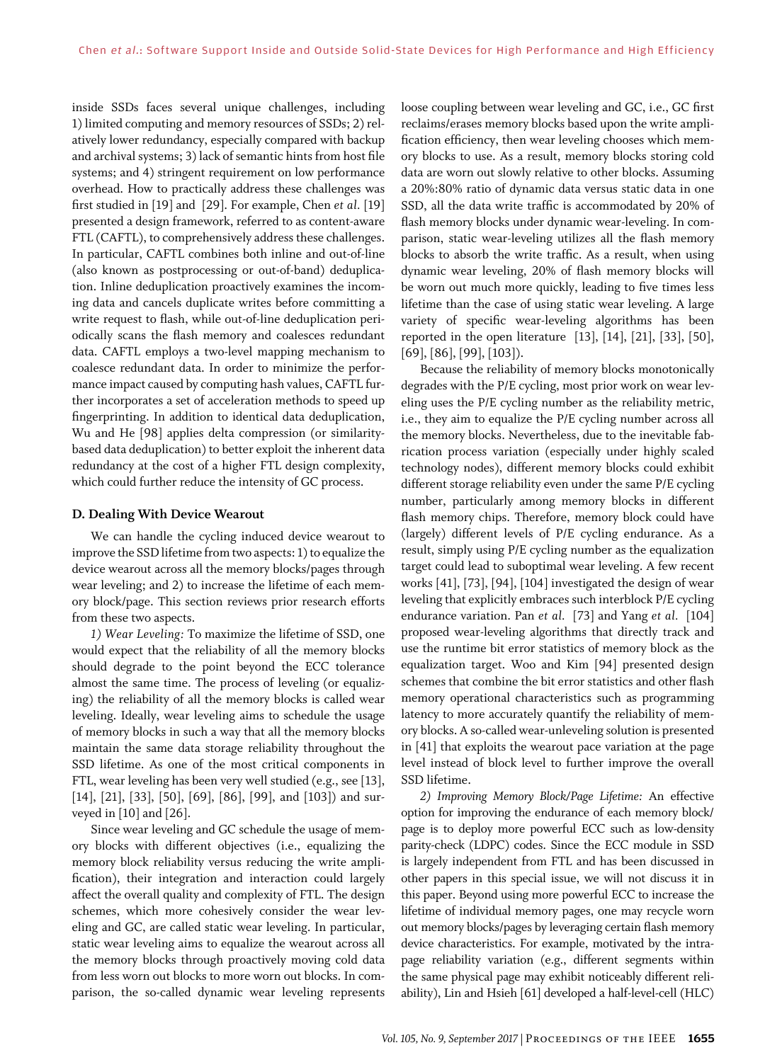inside SSDs faces several unique challenges, including 1) limited computing and memory resources of SSDs; 2) relatively lower redundancy, especially compared with backup and archival systems; 3) lack of semantic hints from host file systems; and 4) stringent requirement on low performance overhead. How to practically address these challenges was first studied in [19] and [29]. For example, Chen *et al.* [19] presented a design framework, referred to as content-aware FTL (CAFTL), to comprehensively address these challenges. In particular, CAFTL combines both inline and out-of-line (also known as postprocessing or out-of-band) deduplication. Inline deduplication proactively examines the incoming data and cancels duplicate writes before committing a write request to flash, while out-of-line deduplication periodically scans the flash memory and coalesces redundant data. CAFTL employs a two-level mapping mechanism to coalesce redundant data. In order to minimize the performance impact caused by computing hash values, CAFTL further incorporates a set of acceleration methods to speed up fingerprinting. In addition to identical data deduplication, Wu and He [98] applies delta compression (or similaritybased data deduplication) to better exploit the inherent data redundancy at the cost of a higher FTL design complexity, which could further reduce the intensity of GC process.

#### **D. Dealing With Device Wearout**

We can handle the cycling induced device wearout to improve the SSD lifetime from two aspects: 1) to equalize the device wearout across all the memory blocks/pages through wear leveling; and 2) to increase the lifetime of each memory block/page. This section reviews prior research efforts from these two aspects.

*1) Wear Leveling:* To maximize the lifetime of SSD, one would expect that the reliability of all the memory blocks should degrade to the point beyond the ECC tolerance almost the same time. The process of leveling (or equalizing) the reliability of all the memory blocks is called wear leveling. Ideally, wear leveling aims to schedule the usage of memory blocks in such a way that all the memory blocks maintain the same data storage reliability throughout the SSD lifetime. As one of the most critical components in FTL, wear leveling has been very well studied (e.g., see [13], [14], [21], [33], [50], [69], [86], [99], and [103]) and surveyed in  $\lfloor 10 \rfloor$  and  $\lfloor 26 \rfloor$ .

Since wear leveling and GC schedule the usage of memory blocks with different objectives (i.e., equalizing the memory block reliability versus reducing the write amplification), their integration and interaction could largely affect the overall quality and complexity of FTL. The design schemes, which more cohesively consider the wear leveling and GC, are called static wear leveling. In particular, static wear leveling aims to equalize the wearout across all the memory blocks through proactively moving cold data from less worn out blocks to more worn out blocks. In comparison, the so-called dynamic wear leveling represents loose coupling between wear leveling and GC, i.e., GC first reclaims/erases memory blocks based upon the write amplification efficiency, then wear leveling chooses which memory blocks to use. As a result, memory blocks storing cold data are worn out slowly relative to other blocks. Assuming a 20%:80% ratio of dynamic data versus static data in one SSD, all the data write traffic is accommodated by 20% of flash memory blocks under dynamic wear-leveling. In comparison, static wear-leveling utilizes all the flash memory blocks to absorb the write traffic. As a result, when using dynamic wear leveling, 20% of flash memory blocks will be worn out much more quickly, leading to five times less lifetime than the case of using static wear leveling. A large variety of specific wear-leveling algorithms has been reported in the open literature [13], [14], [21], [33], [50], [69], [86], [99], [103]).

Because the reliability of memory blocks monotonically degrades with the P/E cycling, most prior work on wear leveling uses the P/E cycling number as the reliability metric, i.e., they aim to equalize the P/E cycling number across all the memory blocks. Nevertheless, due to the inevitable fabrication process variation (especially under highly scaled technology nodes), different memory blocks could exhibit different storage reliability even under the same P/E cycling number, particularly among memory blocks in different flash memory chips. Therefore, memory block could have (largely) different levels of P/E cycling endurance. As a result, simply using P/E cycling number as the equalization target could lead to suboptimal wear leveling. A few recent works [41], [73], [94], [104] investigated the design of wear leveling that explicitly embraces such interblock P/E cycling endurance variation. Pan *et al.* [73] and Yang *et al.* [104] proposed wear-leveling algorithms that directly track and use the runtime bit error statistics of memory block as the equalization target. Woo and Kim [94] presented design schemes that combine the bit error statistics and other flash memory operational characteristics such as programming latency to more accurately quantify the reliability of memory blocks. A so-called wear-unleveling solution is presented in [41] that exploits the wearout pace variation at the page level instead of block level to further improve the overall SSD lifetime.

*2) Improving Memory Block/Page Lifetime:* An effective option for improving the endurance of each memory block/ page is to deploy more powerful ECC such as low-density parity-check (LDPC) codes. Since the ECC module in SSD is largely independent from FTL and has been discussed in other papers in this special issue, we will not discuss it in this paper. Beyond using more powerful ECC to increase the lifetime of individual memory pages, one may recycle worn out memory blocks/pages by leveraging certain flash memory device characteristics. For example, motivated by the intrapage reliability variation (e.g., different segments within the same physical page may exhibit noticeably different reliability), Lin and Hsieh [61] developed a half-level-cell (HLC)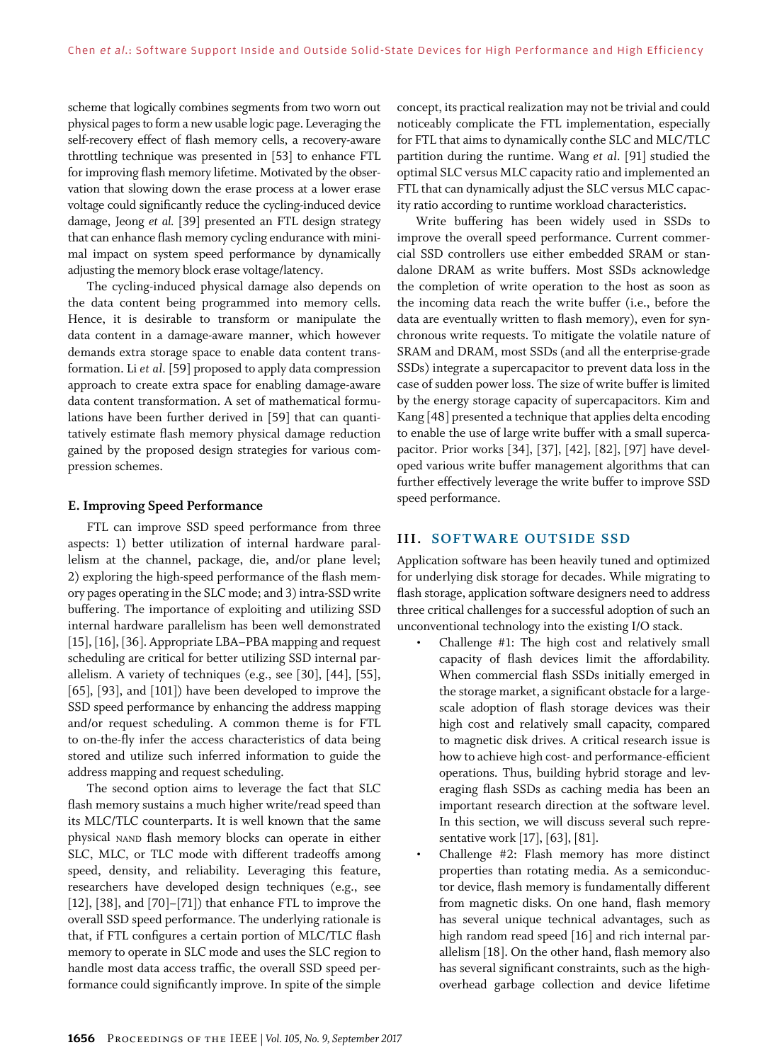scheme that logically combines segments from two worn out physical pages to form a new usable logic page. Leveraging the self-recovery effect of flash memory cells, a recovery-aware throttling technique was presented in [53] to enhance FTL for improving flash memory lifetime. Motivated by the observation that slowing down the erase process at a lower erase voltage could significantly reduce the cycling-induced device damage, Jeong *et al.* [39] presented an FTL design strategy that can enhance flash memory cycling endurance with minimal impact on system speed performance by dynamically adjusting the memory block erase voltage/latency.

The cycling-induced physical damage also depends on the data content being programmed into memory cells. Hence, it is desirable to transform or manipulate the data content in a damage-aware manner, which however demands extra storage space to enable data content transformation. Li *et al.* [59] proposed to apply data compression approach to create extra space for enabling damage-aware data content transformation. A set of mathematical formulations have been further derived in [59] that can quantitatively estimate flash memory physical damage reduction gained by the proposed design strategies for various compression schemes.

#### **E. Improving Speed Performance**

FTL can improve SSD speed performance from three aspects: 1) better utilization of internal hardware parallelism at the channel, package, die, and/or plane level; 2) exploring the high-speed performance of the flash memory pages operating in the SLC mode; and 3) intra-SSD write buffering. The importance of exploiting and utilizing SSD internal hardware parallelism has been well demonstrated [15], [16], [36]. Appropriate LBA–PBA mapping and request scheduling are critical for better utilizing SSD internal parallelism. A variety of techniques (e.g., see [30], [44], [55], [65], [93], and [101]) have been developed to improve the SSD speed performance by enhancing the address mapping and/or request scheduling. A common theme is for FTL to on-the-fly infer the access characteristics of data being stored and utilize such inferred information to guide the address mapping and request scheduling.

The second option aims to leverage the fact that SLC flash memory sustains a much higher write/read speed than its MLC/TLC counterparts. It is well known that the same physical nand flash memory blocks can operate in either SLC, MLC, or TLC mode with different tradeoffs among speed, density, and reliability. Leveraging this feature, researchers have developed design techniques (e.g., see [12], [38], and [70]–[71]) that enhance FTL to improve the overall SSD speed performance. The underlying rationale is that, if FTL configures a certain portion of MLC/TLC flash memory to operate in SLC mode and uses the SLC region to handle most data access traffic, the overall SSD speed performance could significantly improve. In spite of the simple

concept, its practical realization may not be trivial and could noticeably complicate the FTL implementation, especially for FTL that aims to dynamically conthe SLC and MLC/TLC partition during the runtime. Wang *et al.* [91] studied the optimal SLC versus MLC capacity ratio and implemented an FTL that can dynamically adjust the SLC versus MLC capacity ratio according to runtime workload characteristics.

Write buffering has been widely used in SSDs to improve the overall speed performance. Current commercial SSD controllers use either embedded SRAM or standalone DRAM as write buffers. Most SSDs acknowledge the completion of write operation to the host as soon as the incoming data reach the write buffer (i.e., before the data are eventually written to flash memory), even for synchronous write requests. To mitigate the volatile nature of SRAM and DRAM, most SSDs (and all the enterprise-grade SSDs) integrate a supercapacitor to prevent data loss in the case of sudden power loss. The size of write buffer is limited by the energy storage capacity of supercapacitors. Kim and Kang [48] presented a technique that applies delta encoding to enable the use of large write buffer with a small supercapacitor. Prior works [34], [37], [42], [82], [97] have developed various write buffer management algorithms that can further effectively leverage the write buffer to improve SSD speed performance.

# **III. SOFTWARE OUTSIDE SSD**

Application software has been heavily tuned and optimized for underlying disk storage for decades. While migrating to flash storage, application software designers need to address three critical challenges for a successful adoption of such an unconventional technology into the existing I/O stack.

- Challenge #1: The high cost and relatively small capacity of flash devices limit the affordability. When commercial flash SSDs initially emerged in the storage market, a significant obstacle for a largescale adoption of flash storage devices was their high cost and relatively small capacity, compared to magnetic disk drives. A critical research issue is how to achieve high cost- and performance-efficient operations. Thus, building hybrid storage and leveraging flash SSDs as caching media has been an important research direction at the software level. In this section, we will discuss several such representative work [17], [63], [81].
- Challenge #2: Flash memory has more distinct properties than rotating media. As a semiconductor device, flash memory is fundamentally different from magnetic disks. On one hand, flash memory has several unique technical advantages, such as high random read speed [16] and rich internal parallelism [18]. On the other hand, flash memory also has several significant constraints, such as the highoverhead garbage collection and device lifetime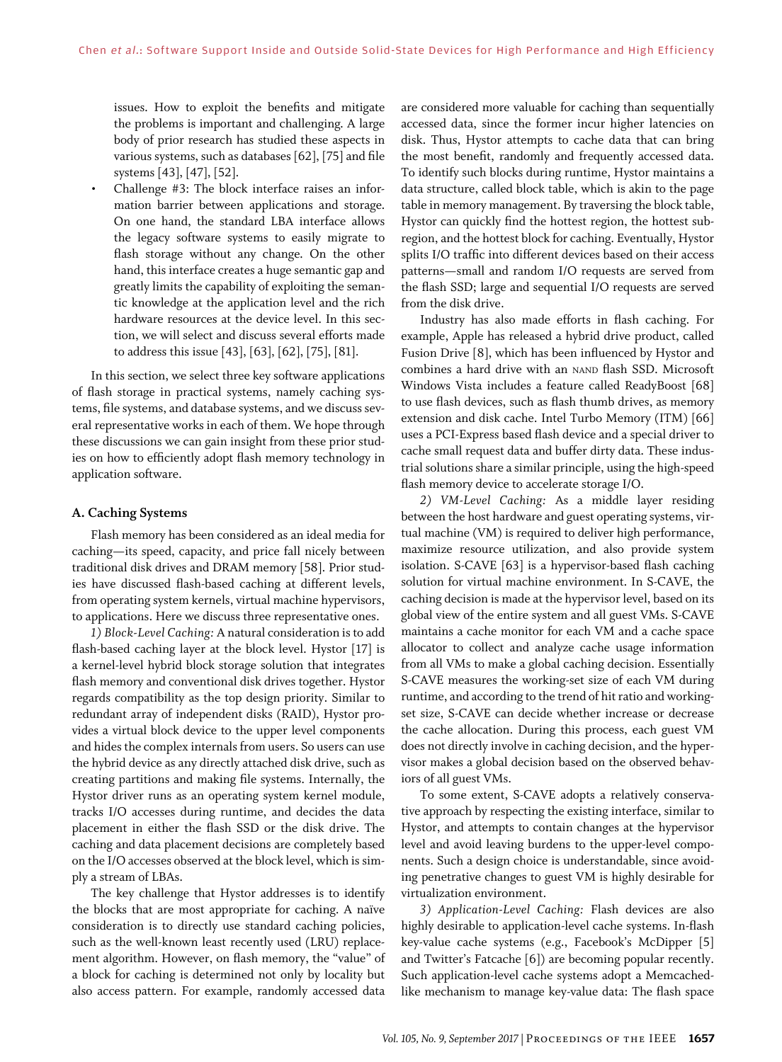issues. How to exploit the benefits and mitigate the problems is important and challenging. A large body of prior research has studied these aspects in various systems, such as databases [62], [75] and file systems [43], [47], [52].

Challenge #3: The block interface raises an information barrier between applications and storage. On one hand, the standard LBA interface allows the legacy software systems to easily migrate to flash storage without any change. On the other hand, this interface creates a huge semantic gap and greatly limits the capability of exploiting the semantic knowledge at the application level and the rich hardware resources at the device level. In this section, we will select and discuss several efforts made to address this issue [43], [63], [62], [75], [81].

In this section, we select three key software applications of flash storage in practical systems, namely caching systems, file systems, and database systems, and we discuss several representative works in each of them. We hope through these discussions we can gain insight from these prior studies on how to efficiently adopt flash memory technology in application software.

#### **A. Caching Systems**

Flash memory has been considered as an ideal media for caching—its speed, capacity, and price fall nicely between traditional disk drives and DRAM memory [58]. Prior studies have discussed flash-based caching at different levels, from operating system kernels, virtual machine hypervisors, to applications. Here we discuss three representative ones.

*1) Block-Level Caching:* A natural consideration is to add flash-based caching layer at the block level. Hystor [17] is a kernel-level hybrid block storage solution that integrates flash memory and conventional disk drives together. Hystor regards compatibility as the top design priority. Similar to redundant array of independent disks (RAID), Hystor provides a virtual block device to the upper level components and hides the complex internals from users. So users can use the hybrid device as any directly attached disk drive, such as creating partitions and making file systems. Internally, the Hystor driver runs as an operating system kernel module, tracks I/O accesses during runtime, and decides the data placement in either the flash SSD or the disk drive. The caching and data placement decisions are completely based on the I/O accesses observed at the block level, which is simply a stream of LBAs.

The key challenge that Hystor addresses is to identify the blocks that are most appropriate for caching. A naïve consideration is to directly use standard caching policies, such as the well-known least recently used (LRU) replacement algorithm. However, on flash memory, the "value" of a block for caching is determined not only by locality but also access pattern. For example, randomly accessed data are considered more valuable for caching than sequentially accessed data, since the former incur higher latencies on disk. Thus, Hystor attempts to cache data that can bring the most benefit, randomly and frequently accessed data. To identify such blocks during runtime, Hystor maintains a data structure, called block table, which is akin to the page table in memory management. By traversing the block table, Hystor can quickly find the hottest region, the hottest subregion, and the hottest block for caching. Eventually, Hystor splits I/O traffic into different devices based on their access patterns—small and random I/O requests are served from the flash SSD; large and sequential I/O requests are served from the disk drive.

Industry has also made efforts in flash caching. For example, Apple has released a hybrid drive product, called Fusion Drive [8], which has been influenced by Hystor and combines a hard drive with an nand flash SSD. Microsoft Windows Vista includes a feature called ReadyBoost [68] to use flash devices, such as flash thumb drives, as memory extension and disk cache. Intel Turbo Memory (ITM) [66] uses a PCI-Express based flash device and a special driver to cache small request data and buffer dirty data. These industrial solutions share a similar principle, using the high-speed flash memory device to accelerate storage I/O.

*2) VM-Level Caching:* As a middle layer residing between the host hardware and guest operating systems, virtual machine (VM) is required to deliver high performance, maximize resource utilization, and also provide system isolation. S-CAVE [63] is a hypervisor-based flash caching solution for virtual machine environment. In S-CAVE, the caching decision is made at the hypervisor level, based on its global view of the entire system and all guest VMs. S-CAVE maintains a cache monitor for each VM and a cache space allocator to collect and analyze cache usage information from all VMs to make a global caching decision. Essentially S-CAVE measures the working-set size of each VM during runtime, and according to the trend of hit ratio and workingset size, S-CAVE can decide whether increase or decrease the cache allocation. During this process, each guest VM does not directly involve in caching decision, and the hypervisor makes a global decision based on the observed behaviors of all guest VMs.

To some extent, S-CAVE adopts a relatively conservative approach by respecting the existing interface, similar to Hystor, and attempts to contain changes at the hypervisor level and avoid leaving burdens to the upper-level components. Such a design choice is understandable, since avoiding penetrative changes to guest VM is highly desirable for virtualization environment.

*3) Application-Level Caching:* Flash devices are also highly desirable to application-level cache systems. In-flash key-value cache systems (e.g., Facebook's McDipper [5] and Twitter's Fatcache [6]) are becoming popular recently. Such application-level cache systems adopt a Memcachedlike mechanism to manage key-value data: The flash space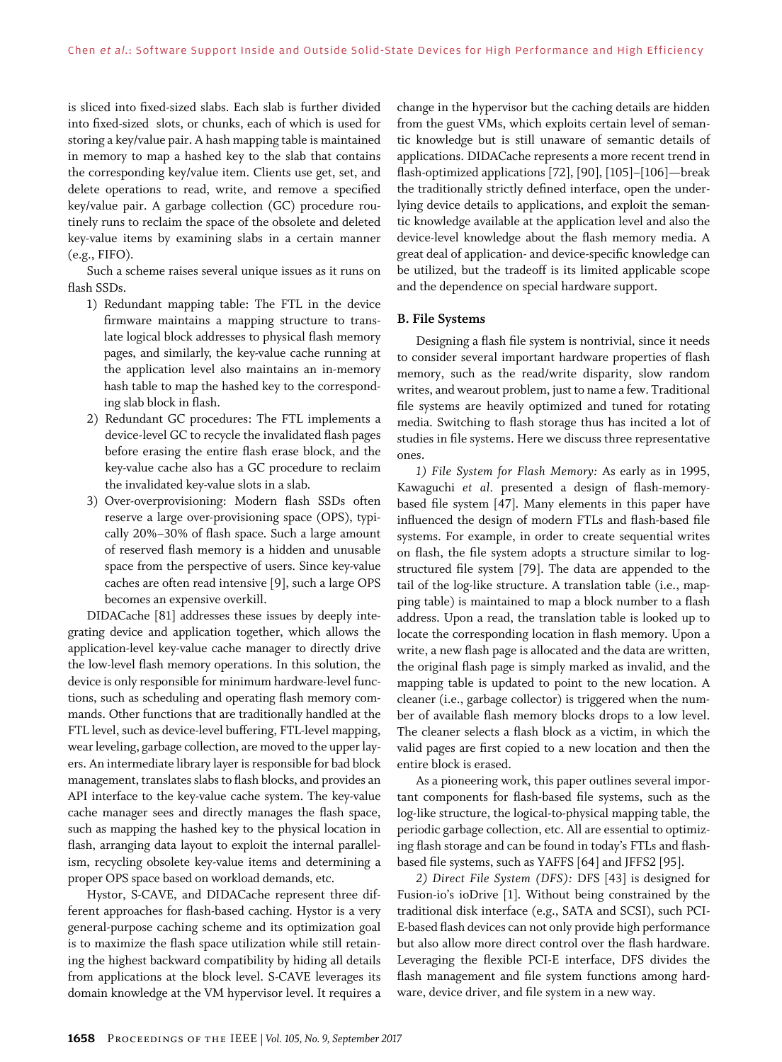is sliced into fixed-sized slabs. Each slab is further divided into fixed-sized slots, or chunks, each of which is used for storing a key/value pair. A hash mapping table is maintained in memory to map a hashed key to the slab that contains the corresponding key/value item. Clients use get, set, and delete operations to read, write, and remove a specified key/value pair. A garbage collection (GC) procedure routinely runs to reclaim the space of the obsolete and deleted key-value items by examining slabs in a certain manner (e.g., FIFO).

Such a scheme raises several unique issues as it runs on flash SSDs.

- 1) Redundant mapping table: The FTL in the device firmware maintains a mapping structure to translate logical block addresses to physical flash memory pages, and similarly, the key-value cache running at the application level also maintains an in-memory hash table to map the hashed key to the corresponding slab block in flash.
- 2) Redundant GC procedures: The FTL implements a device-level GC to recycle the invalidated flash pages before erasing the entire flash erase block, and the key-value cache also has a GC procedure to reclaim the invalidated key-value slots in a slab.
- 3) Over-overprovisioning: Modern flash SSDs often reserve a large over-provisioning space (OPS), typically 20%–30% of flash space. Such a large amount of reserved flash memory is a hidden and unusable space from the perspective of users. Since key-value caches are often read intensive [9], such a large OPS becomes an expensive overkill.

DIDACache [81] addresses these issues by deeply integrating device and application together, which allows the application-level key-value cache manager to directly drive the low-level flash memory operations. In this solution, the device is only responsible for minimum hardware-level functions, such as scheduling and operating flash memory commands. Other functions that are traditionally handled at the FTL level, such as device-level buffering, FTL-level mapping, wear leveling, garbage collection, are moved to the upper layers. An intermediate library layer is responsible for bad block management, translates slabs to flash blocks, and provides an API interface to the key-value cache system. The key-value cache manager sees and directly manages the flash space, such as mapping the hashed key to the physical location in flash, arranging data layout to exploit the internal parallelism, recycling obsolete key-value items and determining a proper OPS space based on workload demands, etc.

Hystor, S-CAVE, and DIDACache represent three different approaches for flash-based caching. Hystor is a very general-purpose caching scheme and its optimization goal is to maximize the flash space utilization while still retaining the highest backward compatibility by hiding all details from applications at the block level. S-CAVE leverages its domain knowledge at the VM hypervisor level. It requires a

change in the hypervisor but the caching details are hidden from the guest VMs, which exploits certain level of semantic knowledge but is still unaware of semantic details of applications. DIDACache represents a more recent trend in flash-optimized applications [72], [90], [105]–[106]—break the traditionally strictly defined interface, open the underlying device details to applications, and exploit the semantic knowledge available at the application level and also the device-level knowledge about the flash memory media. A great deal of application- and device-specific knowledge can be utilized, but the tradeoff is its limited applicable scope and the dependence on special hardware support.

### **B. File Systems**

Designing a flash file system is nontrivial, since it needs to consider several important hardware properties of flash memory, such as the read/write disparity, slow random writes, and wearout problem, just to name a few. Traditional file systems are heavily optimized and tuned for rotating media. Switching to flash storage thus has incited a lot of studies in file systems. Here we discuss three representative ones.

*1) File System for Flash Memory:* As early as in 1995, Kawaguchi *et al.* presented a design of flash-memorybased file system [47]. Many elements in this paper have influenced the design of modern FTLs and flash-based file systems. For example, in order to create sequential writes on flash, the file system adopts a structure similar to logstructured file system [79]. The data are appended to the tail of the log-like structure. A translation table (i.e., mapping table) is maintained to map a block number to a flash address. Upon a read, the translation table is looked up to locate the corresponding location in flash memory. Upon a write, a new flash page is allocated and the data are written, the original flash page is simply marked as invalid, and the mapping table is updated to point to the new location. A cleaner (i.e., garbage collector) is triggered when the number of available flash memory blocks drops to a low level. The cleaner selects a flash block as a victim, in which the valid pages are first copied to a new location and then the entire block is erased.

As a pioneering work, this paper outlines several important components for flash-based file systems, such as the log-like structure, the logical-to-physical mapping table, the periodic garbage collection, etc. All are essential to optimizing flash storage and can be found in today's FTLs and flashbased file systems, such as YAFFS [64] and JFFS2 [95].

*2) Direct File System (DFS):* DFS [43] is designed for Fusion-io's ioDrive [1]. Without being constrained by the traditional disk interface (e.g., SATA and SCSI), such PCI-E-based flash devices can not only provide high performance but also allow more direct control over the flash hardware. Leveraging the flexible PCI-E interface, DFS divides the flash management and file system functions among hardware, device driver, and file system in a new way.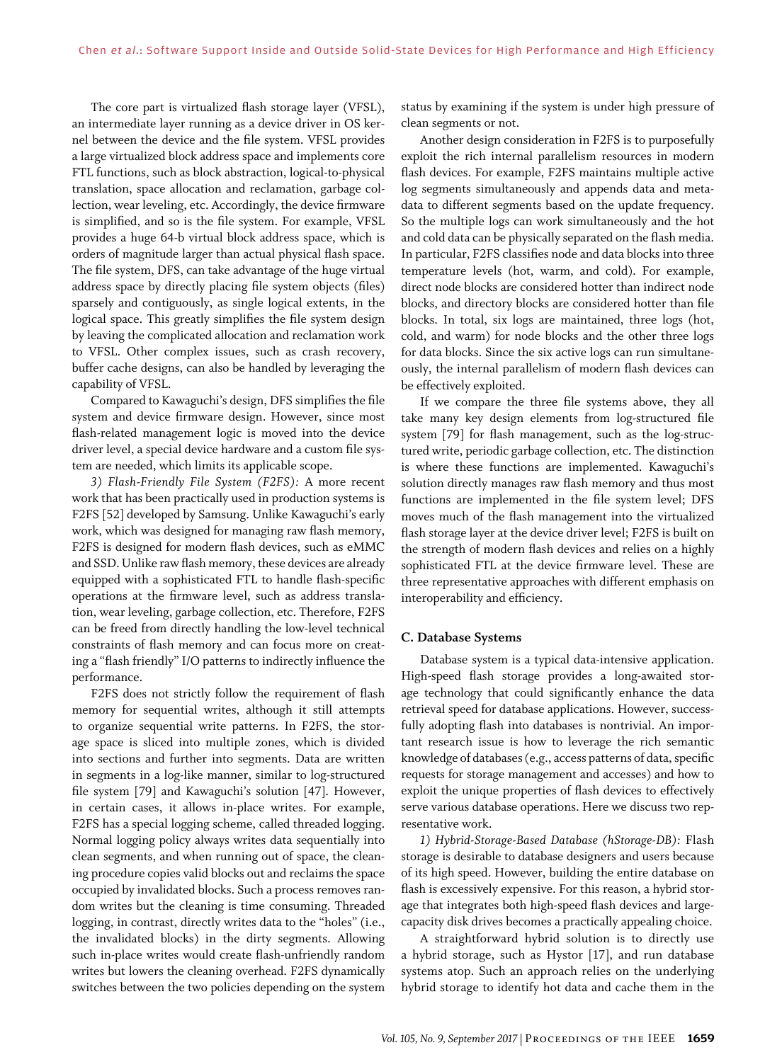The core part is virtualized flash storage layer (VFSL), an intermediate layer running as a device driver in OS kernel between the device and the file system. VFSL provides a large virtualized block address space and implements core FTL functions, such as block abstraction, logical-to-physical translation, space allocation and reclamation, garbage collection, wear leveling, etc. Accordingly, the device firmware is simplified, and so is the file system. For example, VFSL provides a huge 64-b virtual block address space, which is orders of magnitude larger than actual physical flash space. The file system, DFS, can take advantage of the huge virtual address space by directly placing file system objects (files) sparsely and contiguously, as single logical extents, in the logical space. This greatly simplifies the file system design by leaving the complicated allocation and reclamation work to VFSL. Other complex issues, such as crash recovery, buffer cache designs, can also be handled by leveraging the capability of VFSL.

Compared to Kawaguchi's design, DFS simplifies the file system and device firmware design. However, since most flash-related management logic is moved into the device driver level, a special device hardware and a custom file system are needed, which limits its applicable scope.

*3) Flash-Friendly File System (F2FS):* A more recent work that has been practically used in production systems is F2FS [52] developed by Samsung. Unlike Kawaguchi's early work, which was designed for managing raw flash memory, F2FS is designed for modern flash devices, such as eMMC and SSD. Unlike raw flash memory, these devices are already equipped with a sophisticated FTL to handle flash-specific operations at the firmware level, such as address translation, wear leveling, garbage collection, etc. Therefore, F2FS can be freed from directly handling the low-level technical constraints of flash memory and can focus more on creating a "flash friendly" I/O patterns to indirectly influence the performance.

F2FS does not strictly follow the requirement of flash memory for sequential writes, although it still attempts to organize sequential write patterns. In F2FS, the storage space is sliced into multiple zones, which is divided into sections and further into segments. Data are written in segments in a log-like manner, similar to log-structured file system [79] and Kawaguchi's solution [47]. However, in certain cases, it allows in-place writes. For example, F2FS has a special logging scheme, called threaded logging. Normal logging policy always writes data sequentially into clean segments, and when running out of space, the cleaning procedure copies valid blocks out and reclaims the space occupied by invalidated blocks. Such a process removes random writes but the cleaning is time consuming. Threaded logging, in contrast, directly writes data to the "holes" (i.e., the invalidated blocks) in the dirty segments. Allowing such in-place writes would create flash-unfriendly random writes but lowers the cleaning overhead. F2FS dynamically switches between the two policies depending on the system status by examining if the system is under high pressure of clean segments or not.

Another design consideration in F2FS is to purposefully exploit the rich internal parallelism resources in modern flash devices. For example, F2FS maintains multiple active log segments simultaneously and appends data and metadata to different segments based on the update frequency. So the multiple logs can work simultaneously and the hot and cold data can be physically separated on the flash media. In particular, F2FS classifies node and data blocks into three temperature levels (hot, warm, and cold). For example, direct node blocks are considered hotter than indirect node blocks, and directory blocks are considered hotter than file blocks. In total, six logs are maintained, three logs (hot, cold, and warm) for node blocks and the other three logs for data blocks. Since the six active logs can run simultaneously, the internal parallelism of modern flash devices can be effectively exploited.

If we compare the three file systems above, they all take many key design elements from log-structured file system [79] for flash management, such as the log-structured write, periodic garbage collection, etc. The distinction is where these functions are implemented. Kawaguchi's solution directly manages raw flash memory and thus most functions are implemented in the file system level; DFS moves much of the flash management into the virtualized flash storage layer at the device driver level; F2FS is built on the strength of modern flash devices and relies on a highly sophisticated FTL at the device firmware level. These are three representative approaches with different emphasis on interoperability and efficiency.

#### **C. Database Systems**

Database system is a typical data-intensive application. High-speed flash storage provides a long-awaited storage technology that could significantly enhance the data retrieval speed for database applications. However, successfully adopting flash into databases is nontrivial. An important research issue is how to leverage the rich semantic knowledge of databases (e.g., access patterns of data, specific requests for storage management and accesses) and how to exploit the unique properties of flash devices to effectively serve various database operations. Here we discuss two representative work.

*1) Hybrid-Storage-Based Database (hStorage-DB):* Flash storage is desirable to database designers and users because of its high speed. However, building the entire database on flash is excessively expensive. For this reason, a hybrid storage that integrates both high-speed flash devices and largecapacity disk drives becomes a practically appealing choice.

A straightforward hybrid solution is to directly use a hybrid storage, such as Hystor [17], and run database systems atop. Such an approach relies on the underlying hybrid storage to identify hot data and cache them in the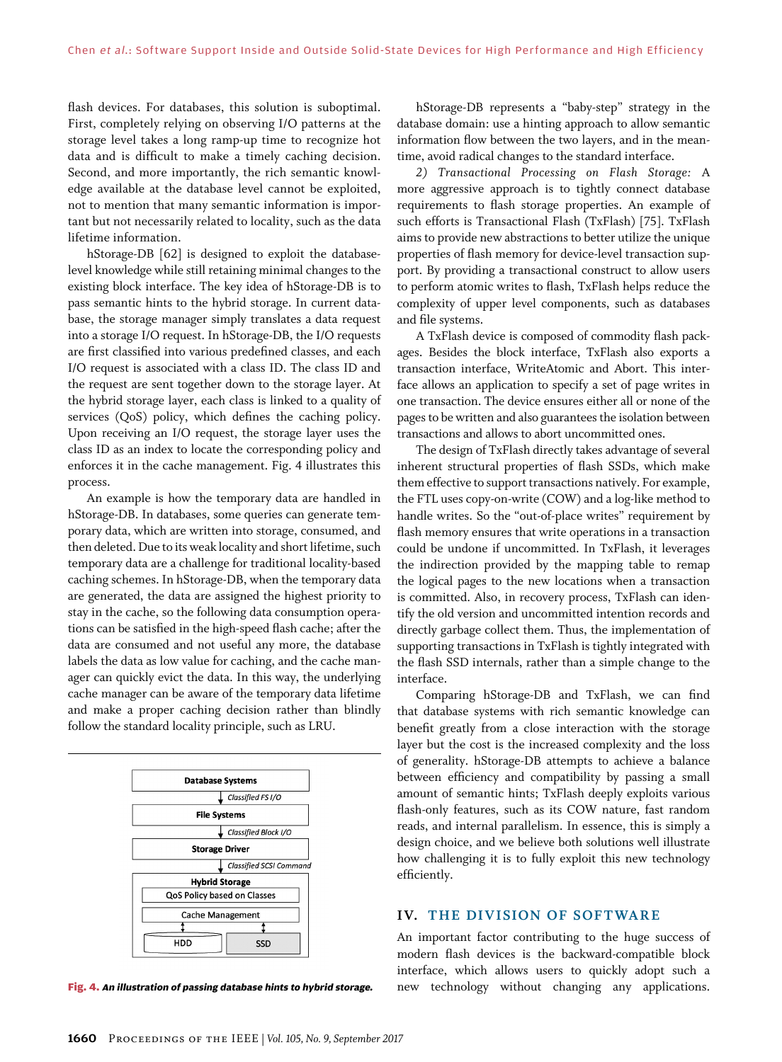flash devices. For databases, this solution is suboptimal. First, completely relying on observing I/O patterns at the storage level takes a long ramp-up time to recognize hot data and is difficult to make a timely caching decision. Second, and more importantly, the rich semantic knowledge available at the database level cannot be exploited, not to mention that many semantic information is important but not necessarily related to locality, such as the data lifetime information.

hStorage-DB [62] is designed to exploit the databaselevel knowledge while still retaining minimal changes to the existing block interface. The key idea of hStorage-DB is to pass semantic hints to the hybrid storage. In current database, the storage manager simply translates a data request into a storage I/O request. In hStorage-DB, the I/O requests are first classified into various predefined classes, and each I/O request is associated with a class ID. The class ID and the request are sent together down to the storage layer. At the hybrid storage layer, each class is linked to a quality of services (QoS) policy, which defines the caching policy. Upon receiving an I/O request, the storage layer uses the class ID as an index to locate the corresponding policy and enforces it in the cache management. Fig. 4 illustrates this process.

An example is how the temporary data are handled in hStorage-DB. In databases, some queries can generate temporary data, which are written into storage, consumed, and then deleted. Due to its weak locality and short lifetime, such temporary data are a challenge for traditional locality-based caching schemes. In hStorage-DB, when the temporary data are generated, the data are assigned the highest priority to stay in the cache, so the following data consumption operations can be satisfied in the high-speed flash cache; after the data are consumed and not useful any more, the database labels the data as low value for caching, and the cache manager can quickly evict the data. In this way, the underlying cache manager can be aware of the temporary data lifetime and make a proper caching decision rather than blindly follow the standard locality principle, such as LRU.



hStorage-DB represents a "baby-step" strategy in the database domain: use a hinting approach to allow semantic information flow between the two layers, and in the meantime, avoid radical changes to the standard interface.

*2) Transactional Processing on Flash Storage:* A more aggressive approach is to tightly connect database requirements to flash storage properties. An example of such efforts is Transactional Flash (TxFlash) [75]. TxFlash aims to provide new abstractions to better utilize the unique properties of flash memory for device-level transaction support. By providing a transactional construct to allow users to perform atomic writes to flash, TxFlash helps reduce the complexity of upper level components, such as databases and file systems.

A TxFlash device is composed of commodity flash packages. Besides the block interface, TxFlash also exports a transaction interface, WriteAtomic and Abort. This interface allows an application to specify a set of page writes in one transaction. The device ensures either all or none of the pages to be written and also guarantees the isolation between transactions and allows to abort uncommitted ones.

The design of TxFlash directly takes advantage of several inherent structural properties of flash SSDs, which make them effective to support transactions natively. For example, the FTL uses copy-on-write (COW) and a log-like method to handle writes. So the "out-of-place writes" requirement by flash memory ensures that write operations in a transaction could be undone if uncommitted. In TxFlash, it leverages the indirection provided by the mapping table to remap the logical pages to the new locations when a transaction is committed. Also, in recovery process, TxFlash can identify the old version and uncommitted intention records and directly garbage collect them. Thus, the implementation of supporting transactions in TxFlash is tightly integrated with the flash SSD internals, rather than a simple change to the interface.

Comparing hStorage-DB and TxFlash, we can find that database systems with rich semantic knowledge can benefit greatly from a close interaction with the storage layer but the cost is the increased complexity and the loss of generality. hStorage-DB attempts to achieve a balance between efficiency and compatibility by passing a small amount of semantic hints; TxFlash deeply exploits various flash-only features, such as its COW nature, fast random reads, and internal parallelism. In essence, this is simply a design choice, and we believe both solutions well illustrate how challenging it is to fully exploit this new technology efficiently.

## **IV. THE DIVISION OF SOFTWARE**

An important factor contributing to the huge success of modern flash devices is the backward-compatible block interface, which allows users to quickly adopt such a **Fig. 4. An illustration of passing database hints to hybrid storage.** new technology without changing any applications.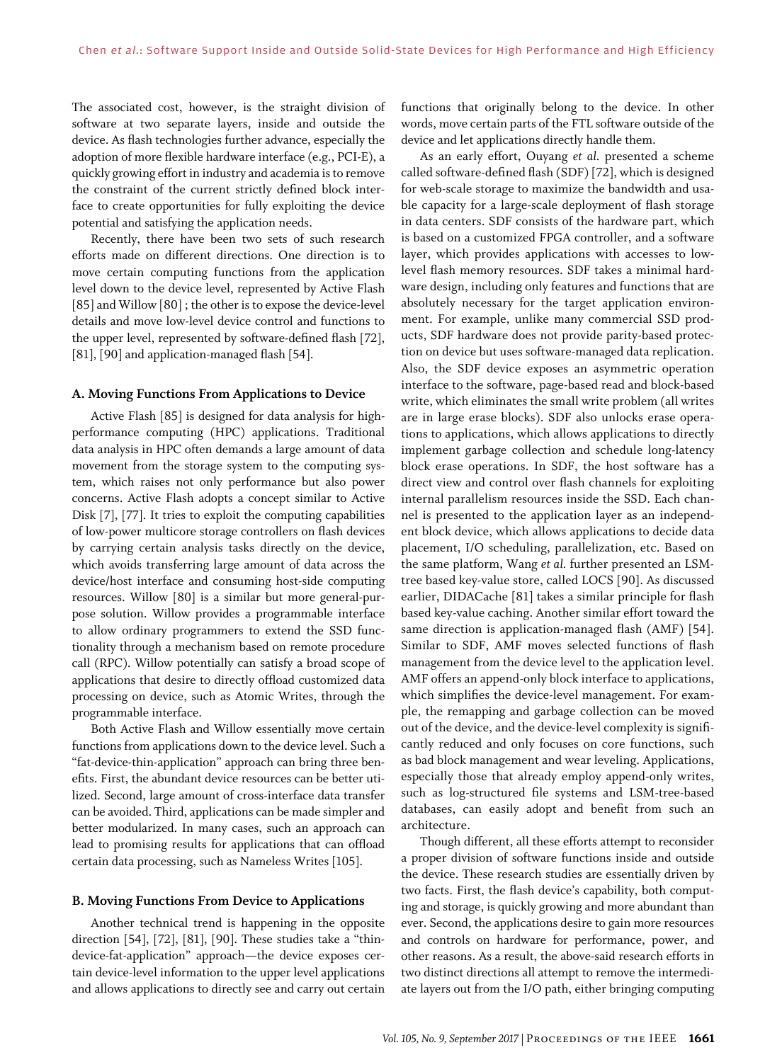The associated cost, however, is the straight division of software at two separate layers, inside and outside the device. As flash technologies further advance, especially the adoption of more flexible hardware interface (e.g., PCI-E), a quickly growing effort in industry and academia is to remove the constraint of the current strictly defined block interface to create opportunities for fully exploiting the device potential and satisfying the application needs.

Recently, there have been two sets of such research efforts made on different directions. One direction is to move certain computing functions from the application level down to the device level, represented by Active Flash [85] and Willow [80] ; the other is to expose the device-level details and move low-level device control and functions to the upper level, represented by software-defined flash [72], [81], [90] and application-managed flash [54].

### **A. Moving Functions From Applications to Device**

Active Flash [85] is designed for data analysis for highperformance computing (HPC) applications. Traditional data analysis in HPC often demands a large amount of data movement from the storage system to the computing system, which raises not only performance but also power concerns. Active Flash adopts a concept similar to Active Disk [7], [77]. It tries to exploit the computing capabilities of low-power multicore storage controllers on flash devices by carrying certain analysis tasks directly on the device, which avoids transferring large amount of data across the device/host interface and consuming host-side computing resources. Willow [80] is a similar but more general-purpose solution. Willow provides a programmable interface to allow ordinary programmers to extend the SSD functionality through a mechanism based on remote procedure call (RPC). Willow potentially can satisfy a broad scope of applications that desire to directly offload customized data processing on device, such as Atomic Writes, through the programmable interface.

Both Active Flash and Willow essentially move certain functions from applications down to the device level. Such a "fat-device-thin-application" approach can bring three benefits. First, the abundant device resources can be better utilized. Second, large amount of cross-interface data transfer can be avoided. Third, applications can be made simpler and better modularized. In many cases, such an approach can lead to promising results for applications that can offload certain data processing, such as Nameless Writes [105].

#### **B. Moving Functions From Device to Applications**

Another technical trend is happening in the opposite direction [54], [72], [81], [90]. These studies take a "thindevice-fat-application" approach—the device exposes certain device-level information to the upper level applications and allows applications to directly see and carry out certain functions that originally belong to the device. In other words, move certain parts of the FTL software outside of the device and let applications directly handle them.

As an early effort, Ouyang *et al.* presented a scheme called software-defined flash (SDF) [72], which is designed for web-scale storage to maximize the bandwidth and usable capacity for a large-scale deployment of flash storage in data centers. SDF consists of the hardware part, which is based on a customized FPGA controller, and a software layer, which provides applications with accesses to lowlevel flash memory resources. SDF takes a minimal hardware design, including only features and functions that are absolutely necessary for the target application environment. For example, unlike many commercial SSD products, SDF hardware does not provide parity-based protection on device but uses software-managed data replication. Also, the SDF device exposes an asymmetric operation interface to the software, page-based read and block-based write, which eliminates the small write problem (all writes are in large erase blocks). SDF also unlocks erase operations to applications, which allows applications to directly implement garbage collection and schedule long-latency block erase operations. In SDF, the host software has a direct view and control over flash channels for exploiting internal parallelism resources inside the SSD. Each channel is presented to the application layer as an independent block device, which allows applications to decide data placement, I/O scheduling, parallelization, etc. Based on the same platform, Wang *et al.* further presented an LSMtree based key-value store, called LOCS [90]. As discussed earlier, DIDACache [81] takes a similar principle for flash based key-value caching. Another similar effort toward the same direction is application-managed flash (AMF) [54]. Similar to SDF, AMF moves selected functions of flash management from the device level to the application level. AMF offers an append-only block interface to applications, which simplifies the device-level management. For example, the remapping and garbage collection can be moved out of the device, and the device-level complexity is significantly reduced and only focuses on core functions, such as bad block management and wear leveling. Applications, especially those that already employ append-only writes, such as log-structured file systems and LSM-tree-based databases, can easily adopt and benefit from such an architecture.

Though different, all these efforts attempt to reconsider a proper division of software functions inside and outside the device. These research studies are essentially driven by two facts. First, the flash device's capability, both computing and storage, is quickly growing and more abundant than ever. Second, the applications desire to gain more resources and controls on hardware for performance, power, and other reasons. As a result, the above-said research efforts in two distinct directions all attempt to remove the intermediate layers out from the I/O path, either bringing computing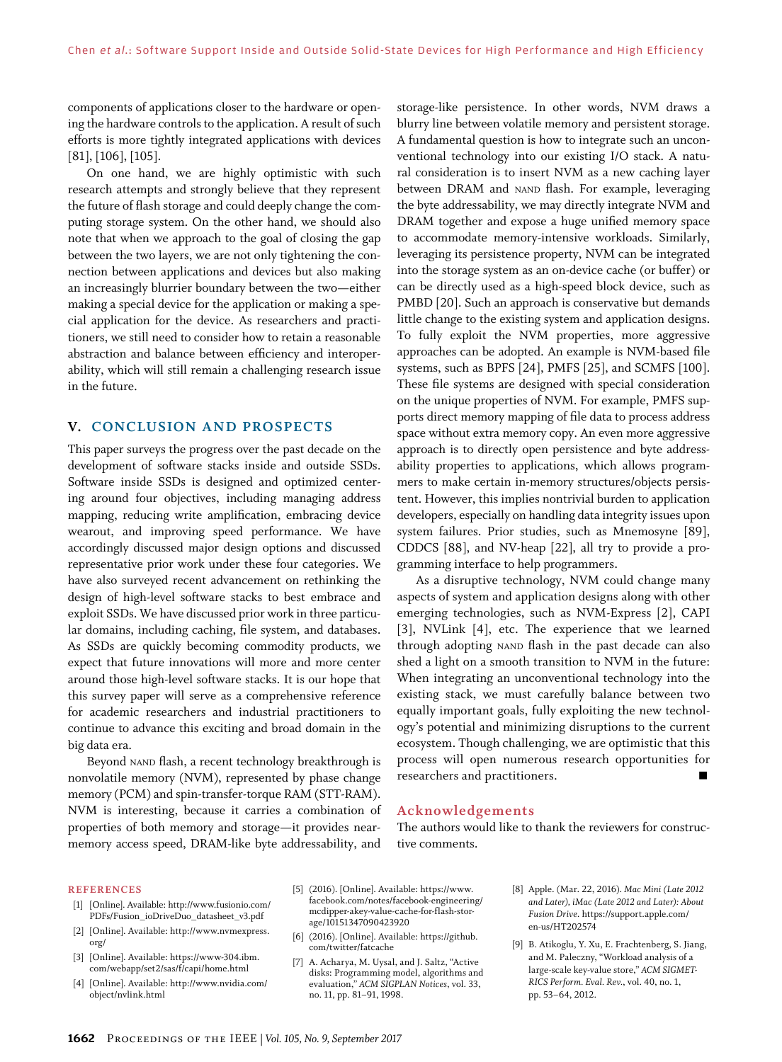components of applications closer to the hardware or opening the hardware controls to the application. A result of such efforts is more tightly integrated applications with devices [81], [106], [105].

On one hand, we are highly optimistic with such research attempts and strongly believe that they represent the future of flash storage and could deeply change the computing storage system. On the other hand, we should also note that when we approach to the goal of closing the gap between the two layers, we are not only tightening the connection between applications and devices but also making an increasingly blurrier boundary between the two—either making a special device for the application or making a special application for the device. As researchers and practitioners, we still need to consider how to retain a reasonable abstraction and balance between efficiency and interoperability, which will still remain a challenging research issue in the future.

# **V. CONCLUSION AND PROSPECTS**

This paper surveys the progress over the past decade on the development of software stacks inside and outside SSDs. Software inside SSDs is designed and optimized centering around four objectives, including managing address mapping, reducing write amplification, embracing device wearout, and improving speed performance. We have accordingly discussed major design options and discussed representative prior work under these four categories. We have also surveyed recent advancement on rethinking the design of high-level software stacks to best embrace and exploit SSDs. We have discussed prior work in three particular domains, including caching, file system, and databases. As SSDs are quickly becoming commodity products, we expect that future innovations will more and more center around those high-level software stacks. It is our hope that this survey paper will serve as a comprehensive reference for academic researchers and industrial practitioners to continue to advance this exciting and broad domain in the big data era.

Beyond NAND flash, a recent technology breakthrough is nonvolatile memory (NVM), represented by phase change memory (PCM) and spin-transfer-torque RAM (STT-RAM). NVM is interesting, because it carries a combination of properties of both memory and storage—it provides nearmemory access speed, DRAM-like byte addressability, and

storage-like persistence. In other words, NVM draws a blurry line between volatile memory and persistent storage. A fundamental question is how to integrate such an unconventional technology into our existing I/O stack. A natural consideration is to insert NVM as a new caching layer between DRAM and NAND flash. For example, leveraging the byte addressability, we may directly integrate NVM and DRAM together and expose a huge unified memory space to accommodate memory-intensive workloads. Similarly, leveraging its persistence property, NVM can be integrated into the storage system as an on-device cache (or buffer) or can be directly used as a high-speed block device, such as PMBD [20]. Such an approach is conservative but demands little change to the existing system and application designs. To fully exploit the NVM properties, more aggressive approaches can be adopted. An example is NVM-based file systems, such as BPFS [24], PMFS [25], and SCMFS [100]. These file systems are designed with special consideration on the unique properties of NVM. For example, PMFS supports direct memory mapping of file data to process address space without extra memory copy. An even more aggressive approach is to directly open persistence and byte addressability properties to applications, which allows programmers to make certain in-memory structures/objects persistent. However, this implies nontrivial burden to application developers, especially on handling data integrity issues upon system failures. Prior studies, such as Mnemosyne [89], CDDCS [88], and NV-heap [22], all try to provide a programming interface to help programmers.

As a disruptive technology, NVM could change many aspects of system and application designs along with other emerging technologies, such as NVM-Express [2], CAPI [3], NVLink [4], etc. The experience that we learned through adopting NAND flash in the past decade can also shed a light on a smooth transition to NVM in the future: When integrating an unconventional technology into the existing stack, we must carefully balance between two equally important goals, fully exploiting the new technology's potential and minimizing disruptions to the current ecosystem. Though challenging, we are optimistic that this process will open numerous research opportunities for researchers and practitioners.

# **Acknowledgements**

The authors would like to thank the reviewers for constructive comments.

#### **REFERENCES**

- [1] [Online]. Available: http://www.fusionio.com/ PDFs/Fusion\_ioDriveDuo\_datasheet\_v3.pdf
- [2] [Online]. Available: http://www.nvmexpress. org/
- [3] [Online]. Available: https://www-304.ibm. com/webapp/set2/sas/f/capi/home.html
- [4] [Online]. Available: http://www.nvidia.com/ object/nvlink.html
- [5] (2016). [Online]. Available: https://www. facebook.com/notes/facebook-engineering/ mcdipper-akey-value-cache-for-flash-storage/10151347090423920
- [6] (2016). [Online]. Available: https://github. com/twitter/fatcache
- [7] A. Acharya, M. Uysal, and J. Saltz, "Active disks: Programming model, algorithms and evaluation," *ACM SIGPLAN Notices*, vol. 33, no. 11, pp. 81–91, 1998.
- [8] Apple. (Mar. 22, 2016). *Mac Mini (Late 2012 and Later), iMac (Late 2012 and Later): About Fusion Drive*. https://support.apple.com/ en-us/HT202574
- [9] B. Atikoglu, Y. Xu, E. Frachtenberg, S. Jiang, and M. Paleczny, "Workload analysis of a large-scale key-value store," *ACM SIGMET-RICS Perform. Eval. Rev.*, vol. 40, no. 1, pp. 53–64, 2012.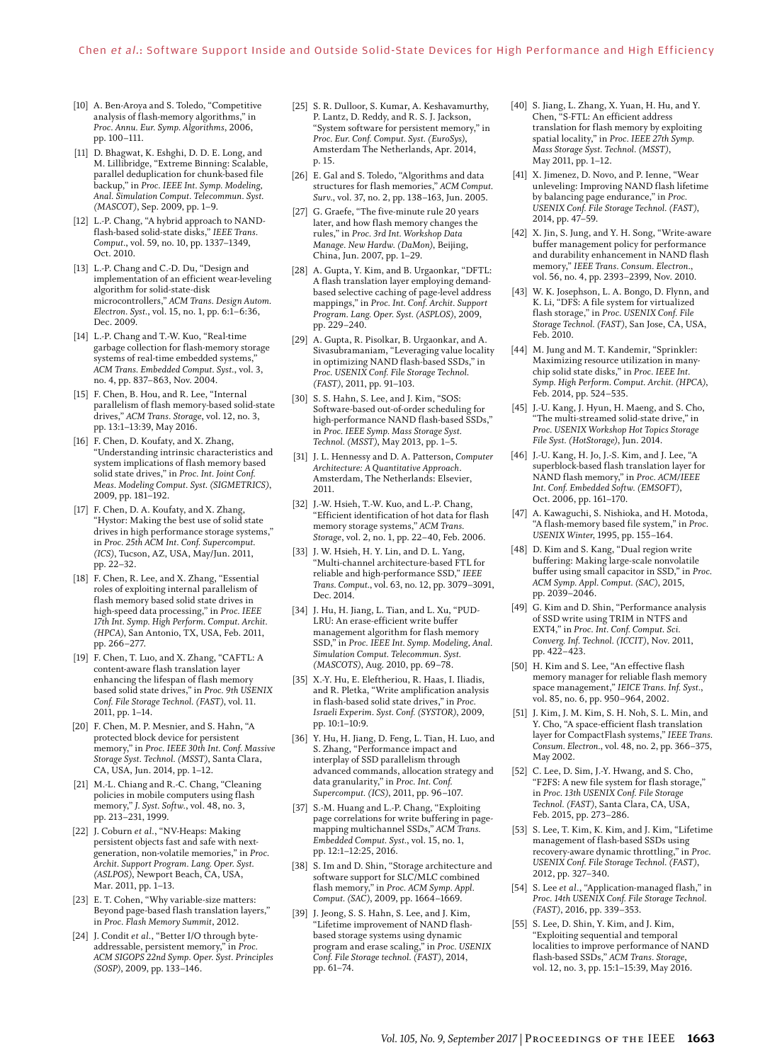- [10] A. Ben-Aroya and S. Toledo, "Competitive analysis of flash-memory algorithms," in *Proc. Annu. Eur. Symp. Algorithms*, 2006, pp. 100–111.
- [11] D. Bhagwat, K. Eshghi, D. D. E. Long, and M. Lillibridge, "Extreme Binning: Scalable, parallel deduplication for chunk-based file backup," in *Proc. IEEE Int. Symp. Modeling, Anal. Simulation Comput. Telecommun. Syst. (MASCOT)*, Sep. 2009, pp. 1–9.
- [12] L.-P. Chang, "A hybrid approach to NANDflash-based solid-state disks," *IEEE Trans. Comput.*, vol. 59, no. 10, pp. 1337–1349, Oct. 2010.
- [13] L.-P. Chang and C.-D. Du, "Design and implementation of an efficient wear-leveling algorithm for solid-state-disk microcontrollers," *ACM Trans. Design Autom. Electron. Syst.*, vol. 15, no. 1, pp. 6:1–6:36, Dec. 2009.
- [14] L.-P. Chang and T.-W. Kuo, "Real-time garbage collection for flash-memory storage systems of real-time embedded systems, *ACM Trans. Embedded Comput. Syst.*, vol. 3, no. 4, pp. 837–863, Nov. 2004.
- [15] F. Chen, B. Hou, and R. Lee, "Internal parallelism of flash memory-based solid-state drives," *ACM Trans. Storage*, vol. 12, no. 3, pp. 13:1–13:39, May 2016.
- [16] F. Chen, D. Koufaty, and X. Zhang, "Understanding intrinsic characteristics and system implications of flash memory based solid state drives," in *Proc. Int. Joint Conf. Meas. Modeling Comput. Syst. (SIGMETRICS)*, 2009, pp. 181–192.
- [17] F. Chen, D. A. Koufaty, and X. Zhang, "Hystor: Making the best use of solid state drives in high performance storage systems," in *Proc. 25th ACM Int. Conf. Supercomput. (ICS)*, Tucson, AZ, USA, May/Jun. 2011, pp. 22–32.
- [18] F. Chen, R. Lee, and X. Zhang, "Essential roles of exploiting internal parallelism of flash memory based solid state drives in high-speed data processing," in *Proc. IEEE 17th Int. Symp. High Perform. Comput. Archit. (HPCA)*, San Antonio, TX, USA, Feb. 2011, pp. 266–277.
- [19] F. Chen, T. Luo, and X. Zhang, "CAFTL: A content-aware flash translation layer enhancing the lifespan of flash memory based solid state drives," in *Proc. 9th USENIX Conf. File Storage Technol. (FAST)*, vol. 11. 2011, pp. 1–14.
- [20] F. Chen, M. P. Mesnier, and S. Hahn, "A protected block device for persistent memory," in *Proc. IEEE 30th Int. Conf. Massive Storage Syst. Technol. (MSST)*, Santa Clara, CA, USA, Jun. 2014, pp. 1–12.
- [21] M.-L. Chiang and R.-C. Chang, "Cleaning policies in mobile computers using flash memory," *J. Syst. Softw.*, vol. 48, no. 3, pp. 213–231, 1999.
- [22] J. Coburn *et al.*, "NV-Heaps: Making persistent objects fast and safe with nextgeneration, non-volatile memories," in *Proc. Archit. Support Program. Lang. Oper. Syst. (ASLPOS)*, Newport Beach, CA, USA, Mar. 2011, pp. 1–13.
- [23] E. T. Cohen, "Why variable-size matters: Beyond page-based flash translation layers," in *Proc. Flash Memory Summit*, 2012.
- [24] J. Condit *et al.*, "Better I/O through byteaddressable, persistent memory," in *Proc. ACM SIGOPS 22nd Symp. Oper. Syst. Principles (SOSP)*, 2009, pp. 133–146.
- [25] S. R. Dulloor, S. Kumar, A. Keshavamurthy, P. Lantz, D. Reddy, and R. S. J. Jackson, "System software for persistent memory," in *Proc. Eur. Conf. Comput. Syst. (EuroSys)*, Amsterdam The Netherlands, Apr. 2014, p. 15.
- [26] E. Gal and S. Toledo, "Algorithms and data structures for flash memories," *ACM Comput. Surv.*, vol. 37, no. 2, pp. 138–163, Jun. 2005.
- [27] G. Graefe, "The five-minute rule 20 years later, and how flash memory changes the rules," in *Proc. 3rd Int. Workshop Data Manage. New Hardw. (DaMon)*, Beijing, China, Jun. 2007, pp. 1–29.
- [28] A. Gupta, Y. Kim, and B. Urgaonkar, "DFTL: A flash translation layer employing demandbased selective caching of page-level address mappings," in *Proc. Int. Conf. Archit. Support Program. Lang. Oper. Syst. (ASPLOS)*, 2009, pp. 229–240.
- [29] A. Gupta, R. Pisolkar, B. Urgaonkar, and A. Sivasubramaniam, "Leveraging value locality in optimizing NAND flash-based SSDs," in *Proc. USENIX Conf. File Storage Technol. (FAST)*, 2011, pp. 91–103.
- [30] S. S. Hahn, S. Lee, and J. Kim, "SOS: Software-based out-of-order scheduling for high-performance NAND flash-based SSDs," in *Proc. IEEE Symp. Mass Storage Syst. Technol. (MSST)*, May 2013, pp. 1–5.
- [31] J. L. Hennessy and D. A. Patterson, *Computer Architecture: A Quantitative Approach*. Amsterdam, The Netherlands: Elsevier, 2011.
- [32] J.-W. Hsieh, T.-W. Kuo, and L.-P. Chang, "Efficient identification of hot data for flash memory storage systems," *ACM Trans. Storage*, vol. 2, no. 1, pp. 22–40, Feb. 2006.
- [33] J. W. Hsieh, H. Y. Lin, and D. L. Yang, "Multi-channel architecture-based FTL for reliable and high-performance SSD," *IEEE Trans. Comput.*, vol. 63, no. 12, pp. 3079–3091, Dec. 2014.
- [34] J. Hu, H. Jiang, L. Tian, and L. Xu, "PUD-LRU: An erase-efficient write buffer management algorithm for flash memory SSD," in *Proc. IEEE Int. Symp. Modeling, Anal. Simulation Comput. Telecommun. Syst. (MASCOTS)*, Aug. 2010, pp. 69–78.
- [35] X.-Y. Hu, E. Eleftheriou, R. Haas, I. Iliadis, and R. Pletka, "Write amplification analysis in flash-based solid state drives," in *Proc. Israeli Experim. Syst. Conf. (SYSTOR)*, 2009, pp. 10:1–10:9.
- [36] Y. Hu, H. Jiang, D. Feng, L. Tian, H. Luo, and S. Zhang, "Performance impact and interplay of SSD parallelism through advanced commands, allocation strategy and data granularity," in *Proc. Int. Conf. Supercomput. (ICS)*, 2011, pp. 96–107.
- [37] S.-M. Huang and L.-P. Chang, "Exploiting page correlations for write buffering in pagemapping multichannel SSDs," *ACM Trans. Embedded Comput. Syst.*, vol. 15, no. 1, pp. 12:1–12:25, 2016.
- [38] S. Im and D. Shin, "Storage architecture and software support for SLC/MLC combined flash memory," in *Proc. ACM Symp. Appl. Comput. (SAC)*, 2009, pp. 1664–1669.
- [39] J. Jeong, S. S. Hahn, S. Lee, and J. Kim, "Lifetime improvement of NAND flashbased storage systems using dynamic program and erase scaling," in *Proc. USENIX Conf. File Storage technol. (FAST)*, 2014, pp. 61–74.
- [40] S. Jiang, L. Zhang, X. Yuan, H. Hu, and Y. Chen, "S-FTL: An efficient address translation for flash memory by exploiting spatial locality," in *Proc. IEEE 27th Symp. Mass Storage Syst. Technol. (MSST)*, May 2011, pp. 1–12.
- [41] X. Jimenez, D. Novo, and P. Ienne, "Wear unleveling: Improving NAND flash lifetime by balancing page endurance," in *Proc. USENIX Conf. File Storage Technol. (FAST)*, 2014, pp. 47–59.
- [42] X. Jin, S. Jung, and Y. H. Song, "Write-aware buffer management policy for performance and durability enhancement in NAND flash memory," *IEEE Trans. Consum. Electron.*, vol. 56, no. 4, pp. 2393-2399, Nov. 2010.
- [43] W. K. Josephson, L. A. Bongo, D. Flynn, and K. Li, "DFS: A file system for virtualized flash storage," in *Proc. USENIX Conf. File Storage Technol. (FAST)*, San Jose, CA, USA, Feb. 2010.
- [44] M. Jung and M. T. Kandemir, "Sprinkler: Maximizing resource utilization in manychip solid state disks," in *Proc. IEEE Int. Symp. High Perform. Comput. Archit. (HPCA)*, Feb. 2014, pp. 524–535.
- [45] J.-U. Kang, J. Hyun, H. Maeng, and S. Cho, "The multi-streamed solid-state drive," in *Proc. USENIX Workshop Hot Topics Storage File Syst. (HotStorage)*, Jun. 2014.
- [46] J.-U. Kang, H. Jo, J.-S. Kim, and J. Lee, "A superblock-based flash translation layer for NAND flash memory," in *Proc. ACM/IEEE Int. Conf. Embedded Softw. (EMSOFT)*, Oct. 2006, pp. 161–170.
- [47] A. Kawaguchi, S. Nishioka, and H. Motoda, "A flash-memory based file system," in *Proc. USENIX Winter*, 1995, pp. 155–164.
- [48] D. Kim and S. Kang, "Dual region write buffering: Making large-scale nonvolatile buffer using small capacitor in SSD," in *Proc. ACM Symp. Appl. Comput. (SAC)*, 2015, pp. 2039–2046.
- [49] G. Kim and D. Shin, "Performance analysis of SSD write using TRIM in NTFS and EXT4," in *Proc. Int. Conf. Comput. Sci. Converg. Inf. Technol. (ICCIT)*, Nov. 2011, pp. 422–423.
- [50] H. Kim and S. Lee, "An effective flash memory manager for reliable flash memory space management," *IEICE Trans. Inf. Syst.*, vol. 85, no. 6, pp. 950–964, 2002.
- [51] J. Kim, J. M. Kim, S. H. Noh, S. L. Min, and Y. Cho, "A space-efficient flash translation layer for CompactFlash systems," *IEEE Trans. Consum. Electron.*, vol. 48, no. 2, pp. 366–375, May 2002.
- [52] C. Lee, D. Sim, J.-Y. Hwang, and S. Cho, "F2FS: A new file system for flash storage," in *Proc. 13th USENIX Conf. File Storage Technol. (FAST)*, Santa Clara, CA, USA, Feb. 2015, pp. 273–286.
- [53] S. Lee, T. Kim, K. Kim, and J. Kim, "Lifetime management of flash-based SSDs using recovery-aware dynamic throttling," in *Proc. USENIX Conf. File Storage Technol. (FAST)*, 2012, pp. 327–340.
- [54] S. Lee *et al.*, "Application-managed flash," in *Proc. 14th USENIX Conf. File Storage Technol. (FAST)*, 2016, pp. 339–353.
- [55] S. Lee, D. Shin, Y. Kim, and J. Kim, "Exploiting sequential and temporal localities to improve performance of NAND flash-based SSDs," *ACM Trans. Storage*, vol. 12, no. 3, pp. 15:1–15:39, May 2016.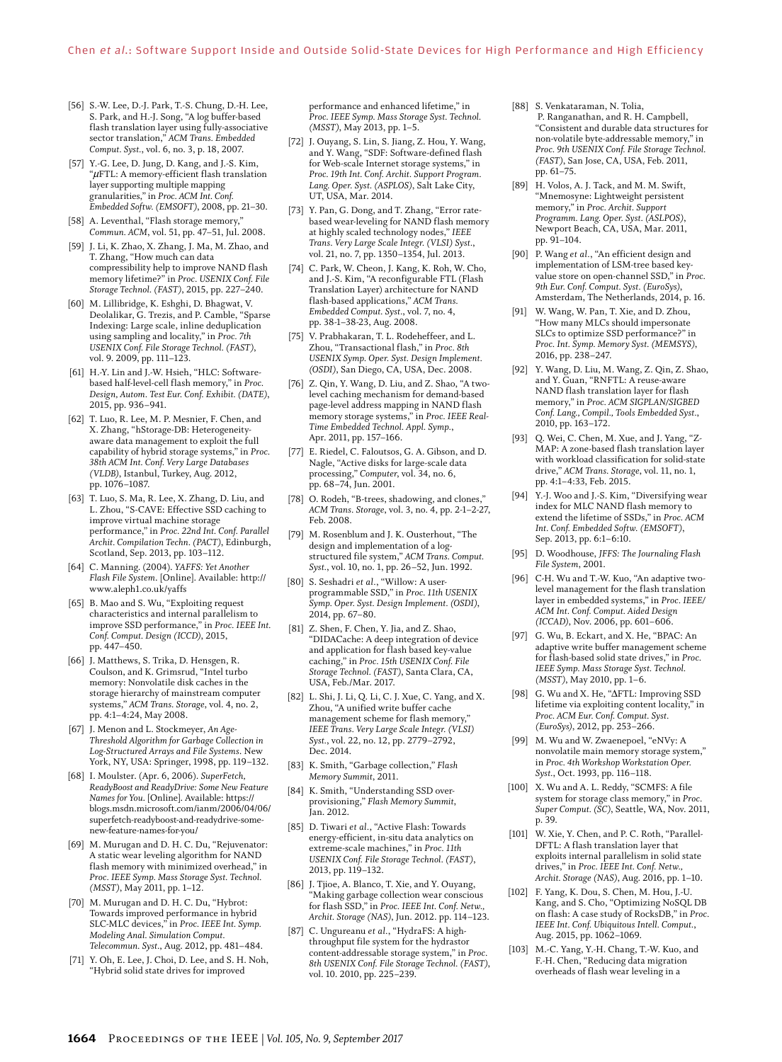- [56] S.-W. Lee, D.-J. Park, T.-S. Chung, D.-H. Lee, S. Park, and H.-J. Song, "A log buffer-based flash translation layer using fully-associative sector translation," *ACM Trans. Embedded Comput. Syst.*, vol. 6, no. 3, p. 18, 2007.
- [57] Y.-G. Lee, D. Jung, D. Kang, and J.-S. Kim, "*μ*FTL: A memory-efficient flash translation layer supporting multiple mapping granularities," in *Proc. ACM Int. Conf. Embedded Softw. (EMSOFT)*, 2008, pp. 21–30.
- [58] A. Leventhal, "Flash storage memory, *Commun. ACM*, vol. 51, pp. 47–51, Jul. 2008.
- [59] J. Li, K. Zhao, X. Zhang, J. Ma, M. Zhao, and T. Zhang, "How much can data compressibility help to improve NAND flash memory lifetime?" in *Proc. USENIX Conf. File Storage Technol. (FAST)*, 2015, pp. 227–240.
- [60] M. Lillibridge, K. Eshghi, D. Bhagwat, V. Deolalikar, G. Trezis, and P. Camble, "Sparse Indexing: Large scale, inline deduplication using sampling and locality," in *Proc. 7th USENIX Conf. File Storage Technol. (FAST)*, vol. 9. 2009, pp. 111–123.
- [61] H.-Y. Lin and J.-W. Hsieh, "HLC: Softwarebased half-level-cell flash memory," in *Proc. Design, Autom. Test Eur. Conf. Exhibit. (DATE)*, 2015, pp. 936–941.
- [62] T. Luo, R. Lee, M. P. Mesnier, F. Chen, and X. Zhang, "hStorage-DB: Heterogeneityaware data management to exploit the full capability of hybrid storage systems," in *Proc. 38th ACM Int. Conf. Very Large Databases (VLDB)*, Istanbul, Turkey, Aug. 2012, pp. 1076–1087.
- [63] T. Luo, S. Ma, R. Lee, X. Zhang, D. Liu, and L. Zhou, "S-CAVE: Effective SSD caching to improve virtual machine storage performance," in *Proc. 22nd Int. Conf. Parallel Archit. Compilation Techn. (PACT)*, Edinburgh, Scotland, Sep. 2013, pp. 103–112.
- [64] C. Manning. (2004). *YAFFS: Yet Another Flash File System*. [Online]. Available: http:// www.aleph1.co.uk/yaffs
- [65] B. Mao and S. Wu, "Exploiting request characteristics and internal parallelism to improve SSD performance," in *Proc. IEEE Int. Conf. Comput. Design (ICCD)*, 2015, pp. 447–450.
- [66] J. Matthews, S. Trika, D. Hensgen, R. Coulson, and K. Grimsrud, "Intel turbo memory: Nonvolatile disk caches in the storage hierarchy of mainstream computer systems," *ACM Trans. Storage*, vol. 4, no. 2, pp. 4:1–4:24, May 2008.
- [67] J. Menon and L. Stockmeyer, *An Age-Threshold Algorithm for Garbage Collection in Log-Structured Arrays and File Systems*. New York, NY, USA: Springer, 1998, pp. 119–132.
- [68] I. Moulster. (Apr. 6, 2006). *SuperFetch, ReadyBoost and ReadyDrive: Some New Feature Names for You*. [Online]. Available: https:// blogs.msdn.microsoft.com/ianm/2006/04/06/ superfetch-readyboost-and-readydrive-somenew-feature-names-for-you/
- [69] M. Murugan and D. H. C. Du, "Rejuvenator: A static wear leveling algorithm for NAND flash memory with minimized overhead," in *Proc. IEEE Symp. Mass Storage Syst. Technol. (MSST)*, May 2011, pp. 1–12.
- [70] M. Murugan and D. H. C. Du, "Hybrot: Towards improved performance in hybrid SLC-MLC devices," in *Proc. IEEE Int. Symp. Modeling Anal. Simulation Comput. Telecommun. Syst.*, Aug. 2012, pp. 481–484.
- [71] Y. Oh, E. Lee, J. Choi, D. Lee, and S. H. Noh, "Hybrid solid state drives for improved

performance and enhanced lifetime," in *Proc. IEEE Symp. Mass Storage Syst. Technol. (MSST)*, May 2013, pp. 1–5.

- [72] J. Ouyang, S. Lin, S. Jiang, Z. Hou, Y. Wang, and Y. Wang, "SDF: Software-defined flash for Web-scale Internet storage systems," in *Proc. 19th Int. Conf. Archit. Support Program. Lang. Oper. Syst. (ASPLOS)*, Salt Lake City, UT, USA, Mar. 2014.
- [73] Y. Pan, G. Dong, and T. Zhang, "Error ratebased wear-leveling for NAND flash memory at highly scaled technology nodes," *IEEE Trans. Very Large Scale Integr. (VLSI) Syst.*, vol. 21, no. 7, pp. 1350–1354, Jul. 2013.
- [74] C. Park, W. Cheon, J. Kang, K. Roh, W. Cho, and J.-S. Kim, "A reconfigurable FTL (Flash Translation Layer) architecture for NAND flash-based applications," *ACM Trans. Embedded Comput. Syst.*, vol. 7, no. 4, pp. 38-1–38-23, Aug. 2008.
- [75] V. Prabhakaran, T. L. Rodeheffeer, and L. Zhou, "Transactional flash," in *Proc. 8th USENIX Symp. Oper. Syst. Design Implement. (OSDI)*, San Diego, CA, USA, Dec. 2008.
- [76] Z. Qin, Y. Wang, D. Liu, and Z. Shao, "A twolevel caching mechanism for demand-based page-level address mapping in NAND flash memory storage systems," in *Proc. IEEE Real-Time Embedded Technol. Appl. Symp.*, Apr. 2011, pp. 157–166.
- [77] E. Riedel, C. Faloutsos, G. A. Gibson, and D. Nagle, "Active disks for large-scale data processing," *Computer*, vol. 34, no. 6, pp. 68–74, Jun. 2001.
- [78] O. Rodeh, "B-trees, shadowing, and clones," *ACM Trans. Storage*, vol. 3, no. 4, pp. 2-1–2-27, Feb. 2008.
- [79] M. Rosenblum and J. K. Ousterhout, "The design and implementation of a logstructured file system," *ACM Trans. Comput. Syst.*, vol. 10, no. 1, pp. 26–52, Jun. 1992.
- [80] S. Seshadri *et al.*, "Willow: A userprogrammable SSD," in *Proc. 11th USENIX Symp. Oper. Syst. Design Implement. (OSDI)*, 2014, pp. 67–80.
- [81] Z. Shen, F. Chen, Y. Jia, and Z. Shao, "DIDACache: A deep integration of device and application for flash based key-value caching," in *Proc. 15th USENIX Conf. File Storage Technol. (FAST)*, Santa Clara, CA, USA, Feb./Mar. 2017.
- [82] L. Shi, J. Li, Q. Li, C. J. Xue, C. Yang, and X. Zhou, "A unified write buffer cache management scheme for flash memory, *IEEE Trans. Very Large Scale Integr. (VLSI) Syst.*, vol. 22, no. 12, pp. 2779–2792, Dec. 2014.
- [83] K. Smith, "Garbage collection," *Flash Memory Summit*, 2011.
- [84] K. Smith, "Understanding SSD overprovisioning," *Flash Memory Summit*, Jan. 2012.
- [85] D. Tiwari *et al.*, "Active Flash: Towards energy-efficient, in-situ data analytics on extreme-scale machines," in *Proc. 11th USENIX Conf. File Storage Technol. (FAST)*, 2013, pp. 119–132.
- [86] J. Tjioe, A. Blanco, T. Xie, and Y. Ouyang, "Making garbage collection wear conscious for flash SSD," in *Proc. IEEE Int. Conf. Netw., Archit. Storage (NAS)*, Jun. 2012. pp. 114–123.
- [87] C. Ungureanu *et al.*, "HydraFS: A highthroughput file system for the hydrastor content-addressable storage system," in *Proc. 8th USENIX Conf. File Storage Technol. (FAST)*, vol. 10. 2010, pp. 225–239.
- [88] S. Venkataraman, N. Tolia, P. Ranganathan, and R. H. Campbell, "Consistent and durable data structures for non-volatile byte-addressable memory," in *Proc. 9th USENIX Conf. File Storage Technol. (FAST)*, San Jose, CA, USA, Feb. 2011, pp. 61–75.
- [89] H. Volos, A. J. Tack, and M. M. Swift, "Mnemosyne: Lightweight persistent memory," in *Proc. Archit. Support Programm. Lang. Oper. Syst. (ASLPOS)*, Newport Beach, CA, USA, Mar. 2011, pp. 91–104.
- [90] P. Wang *et al.*, "An efficient design and implementation of LSM-tree based keyvalue store on open-channel SSD," in *Proc. 9th Eur. Conf. Comput. Syst. (EuroSys)*, Amsterdam, The Netherlands, 2014, p. 16.
- [91] W. Wang, W. Pan, T. Xie, and D. Zhou, "How many MLCs should impersonate SLCs to optimize SSD performance?" in *Proc. Int. Symp. Memory Syst. (MEMSYS)*, 2016, pp. 238–247.
- [92] Y. Wang, D. Liu, M. Wang, Z. Qin, Z. Shao, and Y. Guan, "RNFTL: A reuse-aware NAND flash translation layer for flash memory," in *Proc. ACM SIGPLAN/SIGBED Conf. Lang., Compil., Tools Embedded Syst.*, 2010, pp. 163–172.
- [93] Q. Wei, C. Chen, M. Xue, and J. Yang, "Z-MAP: A zone-based flash translation layer with workload classification for solid-state drive," *ACM Trans. Storage*, vol. 11, no. 1, pp. 4:1–4:33, Feb. 2015.
- [94] Y.-J. Woo and J.-S. Kim, "Diversifying wear index for MLC NAND flash memory to extend the lifetime of SSDs," in *Proc. ACM Int. Conf. Embedded Softw. (EMSOFT)*, Sep. 2013, pp. 6:1–6:10.
- [95] D. Woodhouse, *JFFS: The Journaling Flash File System*, 2001.
- [96] C-H. Wu and T.-W. Kuo, "An adaptive twolevel management for the flash translation layer in embedded systems," in *Proc. IEEE/ ACM Int. Conf. Comput. Aided Design (ICCAD)*, Nov. 2006, pp. 601–606.
- [97] G. Wu, B. Eckart, and X. He, "BPAC: An adaptive write buffer management scheme for flash-based solid state drives," in *Proc. IEEE Symp. Mass Storage Syst. Technol. (MSST)*, May 2010, pp. 1–6.
- [98] G. Wu and X. He, "ΔFTL: Improving SSD lifetime via exploiting content locality," in *Proc. ACM Eur. Conf. Comput. Syst. (EuroSys)*, 2012, pp. 253–266.
- [99] M. Wu and W. Zwaenepoel, "eNVy: A nonvolatile main memory storage system," in *Proc. 4th Workshop Workstation Oper. Syst.*, Oct. 1993, pp. 116–118.
- [100] X. Wu and A. L. Reddy, "SCMFS: A file system for storage class memory," in *Proc. Super Comput. (SC)*, Seattle, WA, Nov. 2011, p. 39.
- [101] W. Xie, Y. Chen, and P. C. Roth, "Parallel-DFTL: A flash translation layer that exploits internal parallelism in solid state drives," in *Proc. IEEE Int. Conf. Netw., Archit. Storage (NAS)*, Aug. 2016, pp. 1–10.
- [102] F. Yang, K. Dou, S. Chen, M. Hou, J.-U. Kang, and S. Cho, "Optimizing NoSQL DB on flash: A case study of RocksDB," in *Proc. IEEE Int. Conf. Ubiquitous Intell. Comput.*, Aug. 2015, pp. 1062–1069.
- [103] M.-C. Yang, Y.-H. Chang, T.-W. Kuo, and F.-H. Chen, "Reducing data migration overheads of flash wear leveling in a